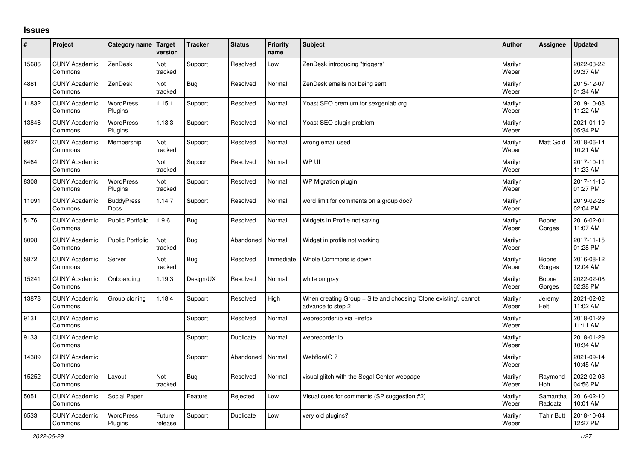## **Issues**

| ∦     | Project                         | Category name Target        | version           | <b>Tracker</b> | <b>Status</b> | <b>Priority</b><br>name | <b>Subject</b>                                                                        | <b>Author</b>    | <b>Assignee</b>       | <b>Updated</b>         |
|-------|---------------------------------|-----------------------------|-------------------|----------------|---------------|-------------------------|---------------------------------------------------------------------------------------|------------------|-----------------------|------------------------|
| 15686 | <b>CUNY Academic</b><br>Commons | ZenDesk                     | Not<br>tracked    | Support        | Resolved      | Low                     | ZenDesk introducing "triggers"                                                        | Marilyn<br>Weber |                       | 2022-03-22<br>09:37 AM |
| 4881  | <b>CUNY Academic</b><br>Commons | ZenDesk                     | Not<br>tracked    | <b>Bug</b>     | Resolved      | Normal                  | ZenDesk emails not being sent                                                         | Marilyn<br>Weber |                       | 2015-12-07<br>01:34 AM |
| 11832 | <b>CUNY Academic</b><br>Commons | WordPress<br>Plugins        | 1.15.11           | Support        | Resolved      | Normal                  | Yoast SEO premium for sexgenlab.org                                                   | Marilyn<br>Weber |                       | 2019-10-08<br>11:22 AM |
| 13846 | <b>CUNY Academic</b><br>Commons | <b>WordPress</b><br>Plugins | 1.18.3            | Support        | Resolved      | Normal                  | Yoast SEO plugin problem                                                              | Marilyn<br>Weber |                       | 2021-01-19<br>05:34 PM |
| 9927  | <b>CUNY Academic</b><br>Commons | Membership                  | Not<br>tracked    | Support        | Resolved      | Normal                  | wrong email used                                                                      | Marilyn<br>Weber | <b>Matt Gold</b>      | 2018-06-14<br>10:21 AM |
| 8464  | <b>CUNY Academic</b><br>Commons |                             | Not<br>tracked    | Support        | Resolved      | Normal                  | WP UI                                                                                 | Marilyn<br>Weber |                       | 2017-10-11<br>11:23 AM |
| 8308  | <b>CUNY Academic</b><br>Commons | <b>WordPress</b><br>Plugins | Not<br>tracked    | Support        | Resolved      | Normal                  | WP Migration plugin                                                                   | Marilyn<br>Weber |                       | 2017-11-15<br>01:27 PM |
| 11091 | <b>CUNY Academic</b><br>Commons | <b>BuddyPress</b><br>Docs   | 1.14.7            | Support        | Resolved      | Normal                  | word limit for comments on a group doc?                                               | Marilyn<br>Weber |                       | 2019-02-26<br>02:04 PM |
| 5176  | <b>CUNY Academic</b><br>Commons | <b>Public Portfolio</b>     | 1.9.6             | <b>Bug</b>     | Resolved      | Normal                  | Widgets in Profile not saving                                                         | Marilyn<br>Weber | Boone<br>Gorges       | 2016-02-01<br>11:07 AM |
| 8098  | <b>CUNY Academic</b><br>Commons | <b>Public Portfolio</b>     | Not<br>tracked    | Bug            | Abandoned     | Normal                  | Widget in profile not working                                                         | Marilyn<br>Weber |                       | 2017-11-15<br>01:28 PM |
| 5872  | <b>CUNY Academic</b><br>Commons | Server                      | Not<br>tracked    | <b>Bug</b>     | Resolved      | Immediate               | Whole Commons is down                                                                 | Marilyn<br>Weber | Boone<br>Gorges       | 2016-08-12<br>12:04 AM |
| 15241 | <b>CUNY Academic</b><br>Commons | Onboarding                  | 1.19.3            | Design/UX      | Resolved      | Normal                  | white on gray                                                                         | Marilyn<br>Weber | Boone<br>Gorges       | 2022-02-08<br>02:38 PM |
| 13878 | <b>CUNY Academic</b><br>Commons | Group cloning               | 1.18.4            | Support        | Resolved      | High                    | When creating Group + Site and choosing 'Clone existing', cannot<br>advance to step 2 | Marilyn<br>Weber | Jeremy<br>Felt        | 2021-02-02<br>11:02 AM |
| 9131  | <b>CUNY Academic</b><br>Commons |                             |                   | Support        | Resolved      | Normal                  | webrecorder.io via Firefox                                                            | Marilyn<br>Weber |                       | 2018-01-29<br>11:11 AM |
| 9133  | <b>CUNY Academic</b><br>Commons |                             |                   | Support        | Duplicate     | Normal                  | webrecorder.io                                                                        | Marilyn<br>Weber |                       | 2018-01-29<br>10:34 AM |
| 14389 | <b>CUNY Academic</b><br>Commons |                             |                   | Support        | Abandoned     | Normal                  | WebflowIO?                                                                            | Marilyn<br>Weber |                       | 2021-09-14<br>10:45 AM |
| 15252 | <b>CUNY Academic</b><br>Commons | Layout                      | Not<br>tracked    | Bug            | Resolved      | Normal                  | visual glitch with the Segal Center webpage                                           | Marilyn<br>Weber | Raymond<br><b>Hoh</b> | 2022-02-03<br>04:56 PM |
| 5051  | <b>CUNY Academic</b><br>Commons | Social Paper                |                   | Feature        | Rejected      | Low                     | Visual cues for comments (SP suggestion #2)                                           | Marilyn<br>Weber | Samantha<br>Raddatz   | 2016-02-10<br>10:01 AM |
| 6533  | <b>CUNY Academic</b><br>Commons | <b>WordPress</b><br>Plugins | Future<br>release | Support        | Duplicate     | Low                     | very old plugins?                                                                     | Marilyn<br>Weber | Tahir Butt            | 2018-10-04<br>12:27 PM |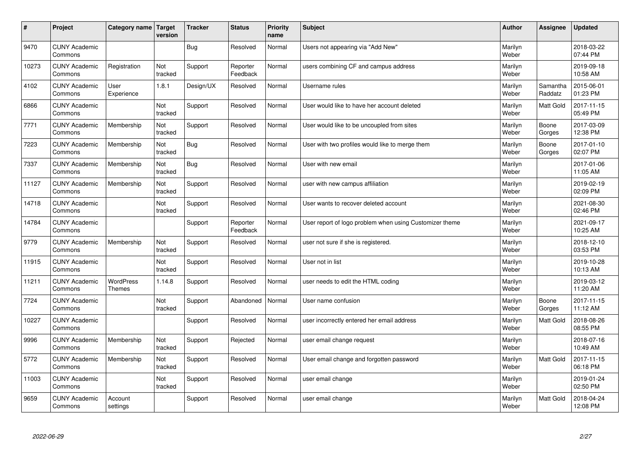| $\sharp$ | Project                         | Category name   Target            | version        | <b>Tracker</b> | <b>Status</b>        | <b>Priority</b><br>name | <b>Subject</b>                                          | <b>Author</b>    | <b>Assignee</b>     | <b>Updated</b>         |
|----------|---------------------------------|-----------------------------------|----------------|----------------|----------------------|-------------------------|---------------------------------------------------------|------------------|---------------------|------------------------|
| 9470     | <b>CUNY Academic</b><br>Commons |                                   |                | Bug            | Resolved             | Normal                  | Users not appearing via "Add New"                       | Marilyn<br>Weber |                     | 2018-03-22<br>07:44 PM |
| 10273    | <b>CUNY Academic</b><br>Commons | Registration                      | Not<br>tracked | Support        | Reporter<br>Feedback | Normal                  | users combining CF and campus address                   | Marilyn<br>Weber |                     | 2019-09-18<br>10:58 AM |
| 4102     | <b>CUNY Academic</b><br>Commons | User<br>Experience                | 1.8.1          | Design/UX      | Resolved             | Normal                  | Username rules                                          | Marilyn<br>Weber | Samantha<br>Raddatz | 2015-06-01<br>01:23 PM |
| 6866     | <b>CUNY Academic</b><br>Commons |                                   | Not<br>tracked | Support        | Resolved             | Normal                  | User would like to have her account deleted             | Marilyn<br>Weber | Matt Gold           | 2017-11-15<br>05:49 PM |
| 7771     | <b>CUNY Academic</b><br>Commons | Membership                        | Not<br>tracked | Support        | Resolved             | Normal                  | User would like to be uncoupled from sites              | Marilyn<br>Weber | Boone<br>Gorges     | 2017-03-09<br>12:38 PM |
| 7223     | <b>CUNY Academic</b><br>Commons | Membership                        | Not<br>tracked | Bug            | Resolved             | Normal                  | User with two profiles would like to merge them         | Marilyn<br>Weber | Boone<br>Gorges     | 2017-01-10<br>02:07 PM |
| 7337     | <b>CUNY Academic</b><br>Commons | Membership                        | Not<br>tracked | Bug            | Resolved             | Normal                  | User with new email                                     | Marilyn<br>Weber |                     | 2017-01-06<br>11:05 AM |
| 11127    | <b>CUNY Academic</b><br>Commons | Membership                        | Not<br>tracked | Support        | Resolved             | Normal                  | user with new campus affiliation                        | Marilyn<br>Weber |                     | 2019-02-19<br>02:09 PM |
| 14718    | <b>CUNY Academic</b><br>Commons |                                   | Not<br>tracked | Support        | Resolved             | Normal                  | User wants to recover deleted account                   | Marilyn<br>Weber |                     | 2021-08-30<br>02:46 PM |
| 14784    | <b>CUNY Academic</b><br>Commons |                                   |                | Support        | Reporter<br>Feedback | Normal                  | User report of logo problem when using Customizer theme | Marilyn<br>Weber |                     | 2021-09-17<br>10:25 AM |
| 9779     | <b>CUNY Academic</b><br>Commons | Membership                        | Not<br>tracked | Support        | Resolved             | Normal                  | user not sure if she is registered.                     | Marilyn<br>Weber |                     | 2018-12-10<br>03:53 PM |
| 11915    | <b>CUNY Academic</b><br>Commons |                                   | Not<br>tracked | Support        | Resolved             | Normal                  | User not in list                                        | Marilyn<br>Weber |                     | 2019-10-28<br>10:13 AM |
| 11211    | <b>CUNY Academic</b><br>Commons | <b>WordPress</b><br><b>Themes</b> | 1.14.8         | Support        | Resolved             | Normal                  | user needs to edit the HTML coding                      | Marilyn<br>Weber |                     | 2019-03-12<br>11:20 AM |
| 7724     | <b>CUNY Academic</b><br>Commons |                                   | Not<br>tracked | Support        | Abandoned            | Normal                  | User name confusion                                     | Marilyn<br>Weber | Boone<br>Gorges     | 2017-11-15<br>11:12 AM |
| 10227    | <b>CUNY Academic</b><br>Commons |                                   |                | Support        | Resolved             | Normal                  | user incorrectly entered her email address              | Marilyn<br>Weber | <b>Matt Gold</b>    | 2018-08-26<br>08:55 PM |
| 9996     | <b>CUNY Academic</b><br>Commons | Membership                        | Not<br>tracked | Support        | Rejected             | Normal                  | user email change request                               | Marilyn<br>Weber |                     | 2018-07-16<br>10:49 AM |
| 5772     | <b>CUNY Academic</b><br>Commons | Membership                        | Not<br>tracked | Support        | Resolved             | Normal                  | User email change and forgotten password                | Marilyn<br>Weber | Matt Gold           | 2017-11-15<br>06:18 PM |
| 11003    | <b>CUNY Academic</b><br>Commons |                                   | Not<br>tracked | Support        | Resolved             | Normal                  | user email change                                       | Marilyn<br>Weber |                     | 2019-01-24<br>02:50 PM |
| 9659     | <b>CUNY Academic</b><br>Commons | Account<br>settings               |                | Support        | Resolved             | Normal                  | user email change                                       | Marilyn<br>Weber | <b>Matt Gold</b>    | 2018-04-24<br>12:08 PM |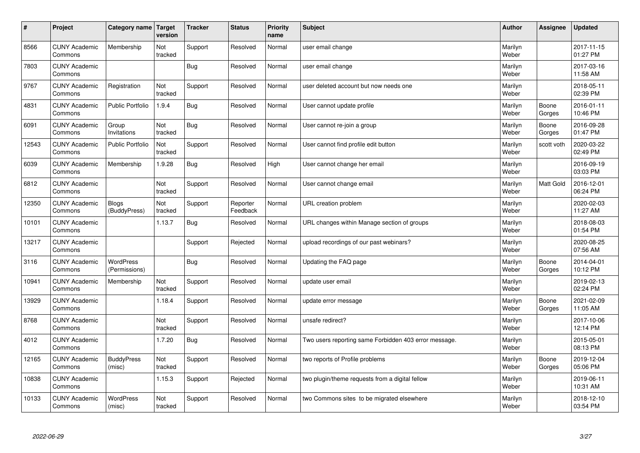| $\sharp$ | Project                         | Category name   Target            | version        | <b>Tracker</b> | <b>Status</b>        | <b>Priority</b><br>name | <b>Subject</b>                                        | <b>Author</b>    | Assignee        | <b>Updated</b>         |
|----------|---------------------------------|-----------------------------------|----------------|----------------|----------------------|-------------------------|-------------------------------------------------------|------------------|-----------------|------------------------|
| 8566     | <b>CUNY Academic</b><br>Commons | Membership                        | Not<br>tracked | Support        | Resolved             | Normal                  | user email change                                     | Marilyn<br>Weber |                 | 2017-11-15<br>01:27 PM |
| 7803     | <b>CUNY Academic</b><br>Commons |                                   |                | Bug            | Resolved             | Normal                  | user email change                                     | Marilyn<br>Weber |                 | 2017-03-16<br>11:58 AM |
| 9767     | <b>CUNY Academic</b><br>Commons | Registration                      | Not<br>tracked | Support        | Resolved             | Normal                  | user deleted account but now needs one                | Marilyn<br>Weber |                 | 2018-05-11<br>02:39 PM |
| 4831     | <b>CUNY Academic</b><br>Commons | <b>Public Portfolio</b>           | 1.9.4          | Bug            | Resolved             | Normal                  | User cannot update profile                            | Marilyn<br>Weber | Boone<br>Gorges | 2016-01-11<br>10:46 PM |
| 6091     | <b>CUNY Academic</b><br>Commons | Group<br>Invitations              | Not<br>tracked | Bug            | Resolved             | Normal                  | User cannot re-join a group                           | Marilyn<br>Weber | Boone<br>Gorges | 2016-09-28<br>01:47 PM |
| 12543    | <b>CUNY Academic</b><br>Commons | <b>Public Portfolio</b>           | Not<br>tracked | Support        | Resolved             | Normal                  | User cannot find profile edit button                  | Marilyn<br>Weber | scott voth      | 2020-03-22<br>02:49 PM |
| 6039     | <b>CUNY Academic</b><br>Commons | Membership                        | 1.9.28         | Bug            | Resolved             | High                    | User cannot change her email                          | Marilyn<br>Weber |                 | 2016-09-19<br>03:03 PM |
| 6812     | <b>CUNY Academic</b><br>Commons |                                   | Not<br>tracked | Support        | Resolved             | Normal                  | User cannot change email                              | Marilyn<br>Weber | Matt Gold       | 2016-12-01<br>06:24 PM |
| 12350    | <b>CUNY Academic</b><br>Commons | <b>Blogs</b><br>(BuddyPress)      | Not<br>tracked | Support        | Reporter<br>Feedback | Normal                  | URL creation problem                                  | Marilyn<br>Weber |                 | 2020-02-03<br>11:27 AM |
| 10101    | <b>CUNY Academic</b><br>Commons |                                   | 1.13.7         | Bug            | Resolved             | Normal                  | URL changes within Manage section of groups           | Marilyn<br>Weber |                 | 2018-08-03<br>01:54 PM |
| 13217    | <b>CUNY Academic</b><br>Commons |                                   |                | Support        | Rejected             | Normal                  | upload recordings of our past webinars?               | Marilyn<br>Weber |                 | 2020-08-25<br>07:56 AM |
| 3116     | <b>CUNY Academic</b><br>Commons | <b>WordPress</b><br>(Permissions) |                | <b>Bug</b>     | Resolved             | Normal                  | Updating the FAQ page                                 | Marilyn<br>Weber | Boone<br>Gorges | 2014-04-01<br>10:12 PM |
| 10941    | <b>CUNY Academic</b><br>Commons | Membership                        | Not<br>tracked | Support        | Resolved             | Normal                  | update user email                                     | Marilyn<br>Weber |                 | 2019-02-13<br>02:24 PM |
| 13929    | <b>CUNY Academic</b><br>Commons |                                   | 1.18.4         | Support        | Resolved             | Normal                  | update error message                                  | Marilyn<br>Weber | Boone<br>Gorges | 2021-02-09<br>11:05 AM |
| 8768     | <b>CUNY Academic</b><br>Commons |                                   | Not<br>tracked | Support        | Resolved             | Normal                  | unsafe redirect?                                      | Marilyn<br>Weber |                 | 2017-10-06<br>12:14 PM |
| 4012     | <b>CUNY Academic</b><br>Commons |                                   | 1.7.20         | Bug            | Resolved             | Normal                  | Two users reporting same Forbidden 403 error message. | Marilyn<br>Weber |                 | 2015-05-01<br>08:13 PM |
| 12165    | <b>CUNY Academic</b><br>Commons | <b>BuddyPress</b><br>(misc)       | Not<br>tracked | Support        | Resolved             | Normal                  | two reports of Profile problems                       | Marilyn<br>Weber | Boone<br>Gorges | 2019-12-04<br>05:06 PM |
| 10838    | <b>CUNY Academic</b><br>Commons |                                   | 1.15.3         | Support        | Rejected             | Normal                  | two plugin/theme requests from a digital fellow       | Marilyn<br>Weber |                 | 2019-06-11<br>10:31 AM |
| 10133    | <b>CUNY Academic</b><br>Commons | <b>WordPress</b><br>(misc)        | Not<br>tracked | Support        | Resolved             | Normal                  | two Commons sites to be migrated elsewhere            | Marilyn<br>Weber |                 | 2018-12-10<br>03:54 PM |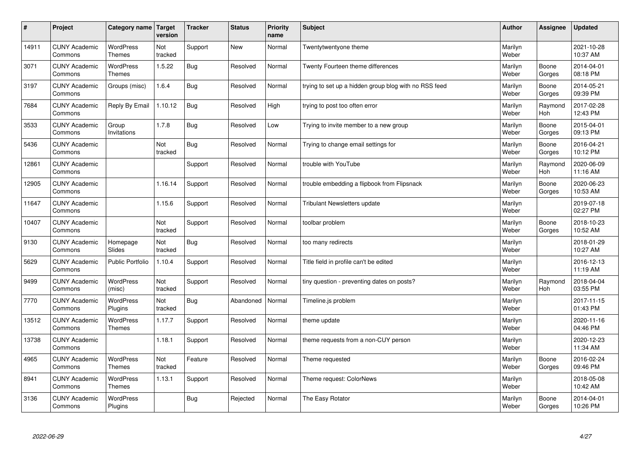| $\pmb{\#}$ | Project                         | Category name                     | Target<br>version | <b>Tracker</b> | <b>Status</b> | <b>Priority</b><br>name | <b>Subject</b>                                        | <b>Author</b>    | Assignee              | <b>Updated</b>         |
|------------|---------------------------------|-----------------------------------|-------------------|----------------|---------------|-------------------------|-------------------------------------------------------|------------------|-----------------------|------------------------|
| 14911      | <b>CUNY Academic</b><br>Commons | <b>WordPress</b><br><b>Themes</b> | Not<br>tracked    | Support        | New           | Normal                  | Twentytwentyone theme                                 | Marilyn<br>Weber |                       | 2021-10-28<br>10:37 AM |
| 3071       | <b>CUNY Academic</b><br>Commons | <b>WordPress</b><br>Themes        | 1.5.22            | Bug            | Resolved      | Normal                  | Twenty Fourteen theme differences                     | Marilyn<br>Weber | Boone<br>Gorges       | 2014-04-01<br>08:18 PM |
| 3197       | <b>CUNY Academic</b><br>Commons | Groups (misc)                     | 1.6.4             | <b>Bug</b>     | Resolved      | Normal                  | trying to set up a hidden group blog with no RSS feed | Marilyn<br>Weber | Boone<br>Gorges       | 2014-05-21<br>09:39 PM |
| 7684       | <b>CUNY Academic</b><br>Commons | Reply By Email                    | 1.10.12           | Bug            | Resolved      | High                    | trying to post too often error                        | Marilyn<br>Weber | Raymond<br><b>Hoh</b> | 2017-02-28<br>12:43 PM |
| 3533       | <b>CUNY Academic</b><br>Commons | Group<br>Invitations              | 1.7.8             | <b>Bug</b>     | Resolved      | Low                     | Trying to invite member to a new group                | Marilyn<br>Weber | Boone<br>Gorges       | 2015-04-01<br>09:13 PM |
| 5436       | <b>CUNY Academic</b><br>Commons |                                   | Not<br>tracked    | <b>Bug</b>     | Resolved      | Normal                  | Trying to change email settings for                   | Marilyn<br>Weber | Boone<br>Gorges       | 2016-04-21<br>10:12 PM |
| 12861      | <b>CUNY Academic</b><br>Commons |                                   |                   | Support        | Resolved      | Normal                  | trouble with YouTube                                  | Marilyn<br>Weber | Raymond<br>Hoh        | 2020-06-09<br>11:16 AM |
| 12905      | <b>CUNY Academic</b><br>Commons |                                   | 1.16.14           | Support        | Resolved      | Normal                  | trouble embedding a flipbook from Flipsnack           | Marilyn<br>Weber | Boone<br>Gorges       | 2020-06-23<br>10:53 AM |
| 11647      | <b>CUNY Academic</b><br>Commons |                                   | 1.15.6            | Support        | Resolved      | Normal                  | <b>Tribulant Newsletters update</b>                   | Marilyn<br>Weber |                       | 2019-07-18<br>02:27 PM |
| 10407      | <b>CUNY Academic</b><br>Commons |                                   | Not<br>tracked    | Support        | Resolved      | Normal                  | toolbar problem                                       | Marilyn<br>Weber | Boone<br>Gorges       | 2018-10-23<br>10:52 AM |
| 9130       | <b>CUNY Academic</b><br>Commons | Homepage<br>Slides                | Not<br>tracked    | Bug            | Resolved      | Normal                  | too many redirects                                    | Marilyn<br>Weber |                       | 2018-01-29<br>10:27 AM |
| 5629       | <b>CUNY Academic</b><br>Commons | <b>Public Portfolio</b>           | 1.10.4            | Support        | Resolved      | Normal                  | Title field in profile can't be edited                | Marilyn<br>Weber |                       | 2016-12-13<br>11:19 AM |
| 9499       | <b>CUNY Academic</b><br>Commons | WordPress<br>(misc)               | Not<br>tracked    | Support        | Resolved      | Normal                  | tiny question - preventing dates on posts?            | Marilyn<br>Weber | Raymond<br>Hoh        | 2018-04-04<br>03:55 PM |
| 7770       | <b>CUNY Academic</b><br>Commons | WordPress<br>Plugins              | Not<br>tracked    | <b>Bug</b>     | Abandoned     | Normal                  | Timeline.js problem                                   | Marilyn<br>Weber |                       | 2017-11-15<br>01:43 PM |
| 13512      | <b>CUNY Academic</b><br>Commons | <b>WordPress</b><br>Themes        | 1.17.7            | Support        | Resolved      | Normal                  | theme update                                          | Marilyn<br>Weber |                       | 2020-11-16<br>04:46 PM |
| 13738      | <b>CUNY Academic</b><br>Commons |                                   | 1.18.1            | Support        | Resolved      | Normal                  | theme requests from a non-CUY person                  | Marilyn<br>Weber |                       | 2020-12-23<br>11:34 AM |
| 4965       | <b>CUNY Academic</b><br>Commons | WordPress<br>Themes               | Not<br>tracked    | Feature        | Resolved      | Normal                  | Theme requested                                       | Marilyn<br>Weber | Boone<br>Gorges       | 2016-02-24<br>09:46 PM |
| 8941       | <b>CUNY Academic</b><br>Commons | WordPress<br><b>Themes</b>        | 1.13.1            | Support        | Resolved      | Normal                  | Theme request: ColorNews                              | Marilyn<br>Weber |                       | 2018-05-08<br>10:42 AM |
| 3136       | <b>CUNY Academic</b><br>Commons | <b>WordPress</b><br>Plugins       |                   | Bug            | Rejected      | Normal                  | The Easy Rotator                                      | Marilyn<br>Weber | Boone<br>Gorges       | 2014-04-01<br>10:26 PM |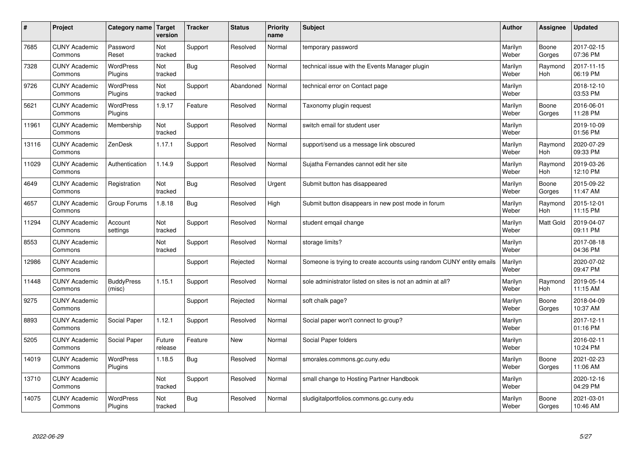| $\#$  | Project                         | Category name   Target      | version           | <b>Tracker</b> | <b>Status</b> | Priority<br>name | <b>Subject</b>                                                       | <b>Author</b>    | <b>Assignee</b>       | <b>Updated</b>         |
|-------|---------------------------------|-----------------------------|-------------------|----------------|---------------|------------------|----------------------------------------------------------------------|------------------|-----------------------|------------------------|
| 7685  | <b>CUNY Academic</b><br>Commons | Password<br>Reset           | Not<br>tracked    | Support        | Resolved      | Normal           | temporary password                                                   | Marilyn<br>Weber | Boone<br>Gorges       | 2017-02-15<br>07:36 PM |
| 7328  | <b>CUNY Academic</b><br>Commons | <b>WordPress</b><br>Plugins | Not<br>tracked    | Bug            | Resolved      | Normal           | technical issue with the Events Manager plugin                       | Marilyn<br>Weber | Raymond<br>Hoh        | 2017-11-15<br>06:19 PM |
| 9726  | <b>CUNY Academic</b><br>Commons | <b>WordPress</b><br>Plugins | Not<br>tracked    | Support        | Abandoned     | Normal           | technical error on Contact page                                      | Marilyn<br>Weber |                       | 2018-12-10<br>03:53 PM |
| 5621  | <b>CUNY Academic</b><br>Commons | <b>WordPress</b><br>Plugins | 1.9.17            | Feature        | Resolved      | Normal           | Taxonomy plugin request                                              | Marilyn<br>Weber | Boone<br>Gorges       | 2016-06-01<br>11:28 PM |
| 11961 | <b>CUNY Academic</b><br>Commons | Membership                  | Not<br>tracked    | Support        | Resolved      | Normal           | switch email for student user                                        | Marilyn<br>Weber |                       | 2019-10-09<br>01:56 PM |
| 13116 | <b>CUNY Academic</b><br>Commons | ZenDesk                     | 1.17.1            | Support        | Resolved      | Normal           | support/send us a message link obscured                              | Marilyn<br>Weber | Raymond<br>Hoh        | 2020-07-29<br>09:33 PM |
| 11029 | <b>CUNY Academic</b><br>Commons | Authentication              | 1.14.9            | Support        | Resolved      | Normal           | Sujatha Fernandes cannot edit her site                               | Marilyn<br>Weber | Raymond<br><b>Hoh</b> | 2019-03-26<br>12:10 PM |
| 4649  | <b>CUNY Academic</b><br>Commons | Registration                | Not<br>tracked    | Bug            | Resolved      | Urgent           | Submit button has disappeared                                        | Marilyn<br>Weber | Boone<br>Gorges       | 2015-09-22<br>11:47 AM |
| 4657  | <b>CUNY Academic</b><br>Commons | Group Forums                | 1.8.18            | <b>Bug</b>     | Resolved      | High             | Submit button disappears in new post mode in forum                   | Marilyn<br>Weber | Raymond<br>Hoh        | 2015-12-01<br>11:15 PM |
| 11294 | <b>CUNY Academic</b><br>Commons | Account<br>settings         | Not<br>tracked    | Support        | Resolved      | Normal           | student emgail change                                                | Marilyn<br>Weber | Matt Gold             | 2019-04-07<br>09:11 PM |
| 8553  | <b>CUNY Academic</b><br>Commons |                             | Not<br>tracked    | Support        | Resolved      | Normal           | storage limits?                                                      | Marilyn<br>Weber |                       | 2017-08-18<br>04:36 PM |
| 12986 | <b>CUNY Academic</b><br>Commons |                             |                   | Support        | Rejected      | Normal           | Someone is trying to create accounts using random CUNY entity emails | Marilyn<br>Weber |                       | 2020-07-02<br>09:47 PM |
| 11448 | <b>CUNY Academic</b><br>Commons | <b>BuddyPress</b><br>(misc) | 1.15.1            | Support        | Resolved      | Normal           | sole administrator listed on sites is not an admin at all?           | Marilyn<br>Weber | Raymond<br>Hoh        | 2019-05-14<br>11:15 AM |
| 9275  | <b>CUNY Academic</b><br>Commons |                             |                   | Support        | Rejected      | Normal           | soft chalk page?                                                     | Marilyn<br>Weber | Boone<br>Gorges       | 2018-04-09<br>10:37 AM |
| 8893  | <b>CUNY Academic</b><br>Commons | Social Paper                | 1.12.1            | Support        | Resolved      | Normal           | Social paper won't connect to group?                                 | Marilyn<br>Weber |                       | 2017-12-11<br>01:16 PM |
| 5205  | <b>CUNY Academic</b><br>Commons | Social Paper                | Future<br>release | Feature        | <b>New</b>    | Normal           | Social Paper folders                                                 | Marilyn<br>Weber |                       | 2016-02-11<br>10:24 PM |
| 14019 | <b>CUNY Academic</b><br>Commons | WordPress<br>Plugins        | 1.18.5            | Bug            | Resolved      | Normal           | smorales.commons.gc.cuny.edu                                         | Marilyn<br>Weber | Boone<br>Gorges       | 2021-02-23<br>11:06 AM |
| 13710 | <b>CUNY Academic</b><br>Commons |                             | Not<br>tracked    | Support        | Resolved      | Normal           | small change to Hosting Partner Handbook                             | Marilyn<br>Weber |                       | 2020-12-16<br>04:29 PM |
| 14075 | <b>CUNY Academic</b><br>Commons | <b>WordPress</b><br>Plugins | Not<br>tracked    | Bug            | Resolved      | Normal           | sludigitalportfolios.commons.gc.cuny.edu                             | Marilyn<br>Weber | Boone<br>Gorges       | 2021-03-01<br>10:46 AM |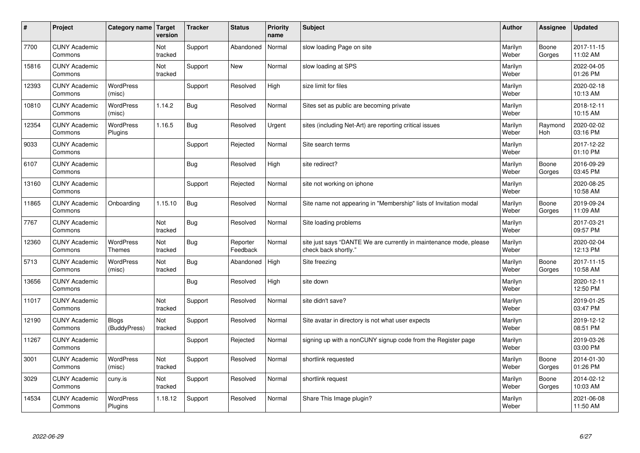| $\sharp$ | Project                         | Category name   Target            | version        | <b>Tracker</b> | <b>Status</b>        | <b>Priority</b><br>name | <b>Subject</b>                                                                             | <b>Author</b>    | Assignee              | <b>Updated</b>         |
|----------|---------------------------------|-----------------------------------|----------------|----------------|----------------------|-------------------------|--------------------------------------------------------------------------------------------|------------------|-----------------------|------------------------|
| 7700     | <b>CUNY Academic</b><br>Commons |                                   | Not<br>tracked | Support        | Abandoned            | Normal                  | slow loading Page on site                                                                  | Marilyn<br>Weber | Boone<br>Gorges       | 2017-11-15<br>11:02 AM |
| 15816    | <b>CUNY Academic</b><br>Commons |                                   | Not<br>tracked | Support        | New                  | Normal                  | slow loading at SPS                                                                        | Marilyn<br>Weber |                       | 2022-04-05<br>01:26 PM |
| 12393    | <b>CUNY Academic</b><br>Commons | <b>WordPress</b><br>(misc)        |                | Support        | Resolved             | High                    | size limit for files                                                                       | Marilyn<br>Weber |                       | 2020-02-18<br>10:13 AM |
| 10810    | <b>CUNY Academic</b><br>Commons | <b>WordPress</b><br>(misc)        | 1.14.2         | <b>Bug</b>     | Resolved             | Normal                  | Sites set as public are becoming private                                                   | Marilyn<br>Weber |                       | 2018-12-11<br>10:15 AM |
| 12354    | <b>CUNY Academic</b><br>Commons | <b>WordPress</b><br>Plugins       | 1.16.5         | Bug            | Resolved             | Urgent                  | sites (including Net-Art) are reporting critical issues                                    | Marilyn<br>Weber | Raymond<br><b>Hoh</b> | 2020-02-02<br>03:16 PM |
| 9033     | <b>CUNY Academic</b><br>Commons |                                   |                | Support        | Rejected             | Normal                  | Site search terms                                                                          | Marilyn<br>Weber |                       | 2017-12-22<br>01:10 PM |
| 6107     | <b>CUNY Academic</b><br>Commons |                                   |                | Bug            | Resolved             | High                    | site redirect?                                                                             | Marilyn<br>Weber | Boone<br>Gorges       | 2016-09-29<br>03:45 PM |
| 13160    | <b>CUNY Academic</b><br>Commons |                                   |                | Support        | Rejected             | Normal                  | site not working on iphone                                                                 | Marilyn<br>Weber |                       | 2020-08-25<br>10:58 AM |
| 11865    | <b>CUNY Academic</b><br>Commons | Onboarding                        | 1.15.10        | Bug            | Resolved             | Normal                  | Site name not appearing in "Membership" lists of Invitation modal                          | Marilyn<br>Weber | Boone<br>Gorges       | 2019-09-24<br>11:09 AM |
| 7767     | <b>CUNY Academic</b><br>Commons |                                   | Not<br>tracked | Bug            | Resolved             | Normal                  | Site loading problems                                                                      | Marilyn<br>Weber |                       | 2017-03-21<br>09:57 PM |
| 12360    | <b>CUNY Academic</b><br>Commons | <b>WordPress</b><br><b>Themes</b> | Not<br>tracked | Bug            | Reporter<br>Feedback | Normal                  | site just says "DANTE We are currently in maintenance mode, please<br>check back shortly." | Marilyn<br>Weber |                       | 2020-02-04<br>12:13 PM |
| 5713     | <b>CUNY Academic</b><br>Commons | <b>WordPress</b><br>(misc)        | Not<br>tracked | Bug            | Abandoned            | High                    | Site freezing                                                                              | Marilyn<br>Weber | Boone<br>Gorges       | 2017-11-15<br>10:58 AM |
| 13656    | <b>CUNY Academic</b><br>Commons |                                   |                | Bug            | Resolved             | High                    | site down                                                                                  | Marilyn<br>Weber |                       | 2020-12-11<br>12:50 PM |
| 11017    | <b>CUNY Academic</b><br>Commons |                                   | Not<br>tracked | Support        | Resolved             | Normal                  | site didn't save?                                                                          | Marilyn<br>Weber |                       | 2019-01-25<br>03:47 PM |
| 12190    | <b>CUNY Academic</b><br>Commons | <b>Blogs</b><br>(BuddyPress)      | Not<br>tracked | Support        | Resolved             | Normal                  | Site avatar in directory is not what user expects                                          | Marilyn<br>Weber |                       | 2019-12-12<br>08:51 PM |
| 11267    | <b>CUNY Academic</b><br>Commons |                                   |                | Support        | Rejected             | Normal                  | signing up with a nonCUNY signup code from the Register page                               | Marilyn<br>Weber |                       | 2019-03-26<br>03:00 PM |
| 3001     | <b>CUNY Academic</b><br>Commons | WordPress<br>(misc)               | Not<br>tracked | Support        | Resolved             | Normal                  | shortlink requested                                                                        | Marilyn<br>Weber | Boone<br>Gorges       | 2014-01-30<br>01:26 PM |
| 3029     | <b>CUNY Academic</b><br>Commons | cuny.is                           | Not<br>tracked | Support        | Resolved             | Normal                  | shortlink request                                                                          | Marilyn<br>Weber | Boone<br>Gorges       | 2014-02-12<br>10:03 AM |
| 14534    | <b>CUNY Academic</b><br>Commons | <b>WordPress</b><br>Plugins       | 1.18.12        | Support        | Resolved             | Normal                  | Share This Image plugin?                                                                   | Marilyn<br>Weber |                       | 2021-06-08<br>11:50 AM |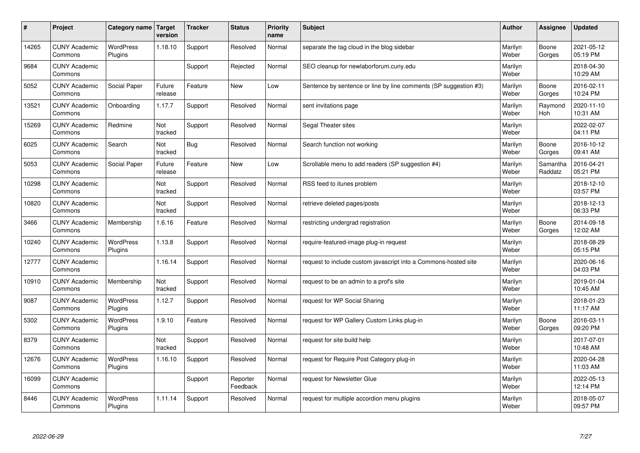| #     | Project                         | Category name               | Target<br>version | <b>Tracker</b> | <b>Status</b>        | <b>Priority</b><br>name | <b>Subject</b>                                                   | <b>Author</b>    | Assignee            | <b>Updated</b>         |
|-------|---------------------------------|-----------------------------|-------------------|----------------|----------------------|-------------------------|------------------------------------------------------------------|------------------|---------------------|------------------------|
| 14265 | <b>CUNY Academic</b><br>Commons | <b>WordPress</b><br>Plugins | 1.18.10           | Support        | Resolved             | Normal                  | separate the tag cloud in the blog sidebar                       | Marilyn<br>Weber | Boone<br>Gorges     | 2021-05-12<br>05:19 PM |
| 9684  | <b>CUNY Academic</b><br>Commons |                             |                   | Support        | Rejected             | Normal                  | SEO cleanup for newlaborforum.cuny.edu                           | Marilyn<br>Weber |                     | 2018-04-30<br>10:29 AM |
| 5052  | <b>CUNY Academic</b><br>Commons | Social Paper                | Future<br>release | Feature        | <b>New</b>           | Low                     | Sentence by sentence or line by line comments (SP suggestion #3) | Marilyn<br>Weber | Boone<br>Gorges     | 2016-02-11<br>10:24 PM |
| 13521 | <b>CUNY Academic</b><br>Commons | Onboarding                  | 1.17.7            | Support        | Resolved             | Normal                  | sent invitations page                                            | Marilyn<br>Weber | Raymond<br>Hoh      | 2020-11-10<br>10:31 AM |
| 15269 | <b>CUNY Academic</b><br>Commons | Redmine                     | Not<br>tracked    | Support        | Resolved             | Normal                  | Segal Theater sites                                              | Marilyn<br>Weber |                     | 2022-02-07<br>04:11 PM |
| 6025  | <b>CUNY Academic</b><br>Commons | Search                      | Not<br>tracked    | Bug            | Resolved             | Normal                  | Search function not working                                      | Marilyn<br>Weber | Boone<br>Gorges     | 2016-10-12<br>09:41 AM |
| 5053  | <b>CUNY Academic</b><br>Commons | Social Paper                | Future<br>release | Feature        | <b>New</b>           | Low                     | Scrollable menu to add readers (SP suggestion #4)                | Marilyn<br>Weber | Samantha<br>Raddatz | 2016-04-21<br>05:21 PM |
| 10298 | <b>CUNY Academic</b><br>Commons |                             | Not<br>tracked    | Support        | Resolved             | Normal                  | RSS feed to itunes problem                                       | Marilyn<br>Weber |                     | 2018-12-10<br>03:57 PM |
| 10820 | <b>CUNY Academic</b><br>Commons |                             | Not<br>tracked    | Support        | Resolved             | Normal                  | retrieve deleted pages/posts                                     | Marilyn<br>Weber |                     | 2018-12-13<br>06:33 PM |
| 3466  | <b>CUNY Academic</b><br>Commons | Membership                  | 1.6.16            | Feature        | Resolved             | Normal                  | restricting undergrad registration                               | Marilyn<br>Weber | Boone<br>Gorges     | 2014-09-18<br>12:02 AM |
| 10240 | <b>CUNY Academic</b><br>Commons | <b>WordPress</b><br>Plugins | 1.13.8            | Support        | Resolved             | Normal                  | require-featured-image plug-in request                           | Marilyn<br>Weber |                     | 2018-08-29<br>05:15 PM |
| 12777 | <b>CUNY Academic</b><br>Commons |                             | 1.16.14           | Support        | Resolved             | Normal                  | request to include custom javascript into a Commons-hosted site  | Marilyn<br>Weber |                     | 2020-06-16<br>04:03 PM |
| 10910 | <b>CUNY Academic</b><br>Commons | Membership                  | Not<br>tracked    | Support        | Resolved             | Normal                  | request to be an admin to a prof's site                          | Marilyn<br>Weber |                     | 2019-01-04<br>10:45 AM |
| 9087  | <b>CUNY Academic</b><br>Commons | <b>WordPress</b><br>Plugins | 1.12.7            | Support        | Resolved             | Normal                  | request for WP Social Sharing                                    | Marilyn<br>Weber |                     | 2018-01-23<br>11:17 AM |
| 5302  | <b>CUNY Academic</b><br>Commons | <b>WordPress</b><br>Plugins | 1.9.10            | Feature        | Resolved             | Normal                  | request for WP Gallery Custom Links plug-in                      | Marilyn<br>Weber | Boone<br>Gorges     | 2016-03-11<br>09:20 PM |
| 8379  | <b>CUNY Academic</b><br>Commons |                             | Not<br>tracked    | Support        | Resolved             | Normal                  | request for site build help                                      | Marilyn<br>Weber |                     | 2017-07-01<br>10:48 AM |
| 12676 | <b>CUNY Academic</b><br>Commons | <b>WordPress</b><br>Plugins | 1.16.10           | Support        | Resolved             | Normal                  | request for Require Post Category plug-in                        | Marilyn<br>Weber |                     | 2020-04-28<br>11:03 AM |
| 16099 | <b>CUNY Academic</b><br>Commons |                             |                   | Support        | Reporter<br>Feedback | Normal                  | request for Newsletter Glue                                      | Marilyn<br>Weber |                     | 2022-05-13<br>12:14 PM |
| 8446  | <b>CUNY Academic</b><br>Commons | <b>WordPress</b><br>Plugins | 1.11.14           | Support        | Resolved             | Normal                  | request for multiple accordion menu plugins                      | Marilyn<br>Weber |                     | 2018-05-07<br>09:57 PM |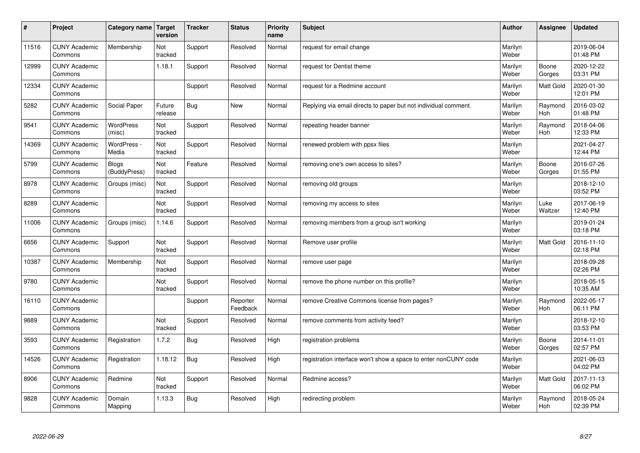| $\pmb{\sharp}$ | Project                         | Category name                | <b>Target</b><br>version | <b>Tracker</b> | <b>Status</b>        | <b>Priority</b><br>name | <b>Subject</b>                                                  | <b>Author</b>    | Assignee              | Updated                |
|----------------|---------------------------------|------------------------------|--------------------------|----------------|----------------------|-------------------------|-----------------------------------------------------------------|------------------|-----------------------|------------------------|
| 11516          | <b>CUNY Academic</b><br>Commons | Membership                   | Not<br>tracked           | Support        | Resolved             | Normal                  | request for email change                                        | Marilyn<br>Weber |                       | 2019-06-04<br>01:48 PM |
| 12999          | <b>CUNY Academic</b><br>Commons |                              | 1.18.1                   | Support        | Resolved             | Normal                  | request for Dentist theme                                       | Marilyn<br>Weber | Boone<br>Gorges       | 2020-12-22<br>03:31 PM |
| 12334          | <b>CUNY Academic</b><br>Commons |                              |                          | Support        | Resolved             | Normal                  | request for a Redmine account                                   | Marilyn<br>Weber | <b>Matt Gold</b>      | 2020-01-30<br>12:01 PM |
| 5282           | <b>CUNY Academic</b><br>Commons | Social Paper                 | Future<br>release        | <b>Bug</b>     | <b>New</b>           | Normal                  | Replying via email directs to paper but not individual comment. | Marilyn<br>Weber | Raymond<br><b>Hoh</b> | 2016-03-02<br>01:48 PM |
| 9541           | <b>CUNY Academic</b><br>Commons | <b>WordPress</b><br>(misc)   | Not<br>tracked           | Support        | Resolved             | Normal                  | repeating header banner                                         | Marilyn<br>Weber | Raymond<br>Hoh        | 2018-04-06<br>12:33 PM |
| 14369          | <b>CUNY Academic</b><br>Commons | WordPress -<br>Media         | Not<br>tracked           | Support        | Resolved             | Normal                  | renewed problem with ppsx files                                 | Marilyn<br>Weber |                       | 2021-04-27<br>12:44 PM |
| 5799           | <b>CUNY Academic</b><br>Commons | <b>Blogs</b><br>(BuddyPress) | Not<br>tracked           | Feature        | Resolved             | Normal                  | removing one's own access to sites?                             | Marilyn<br>Weber | Boone<br>Gorges       | 2016-07-26<br>01:55 PM |
| 8978           | <b>CUNY Academic</b><br>Commons | Groups (misc)                | Not<br>tracked           | Support        | Resolved             | Normal                  | removing old groups                                             | Marilyn<br>Weber |                       | 2018-12-10<br>03:52 PM |
| 8289           | <b>CUNY Academic</b><br>Commons |                              | Not<br>tracked           | Support        | Resolved             | Normal                  | removing my access to sites                                     | Marilyn<br>Weber | Luke<br>Waltzer       | 2017-06-19<br>12:40 PM |
| 11006          | <b>CUNY Academic</b><br>Commons | Groups (misc)                | 1.14.6                   | Support        | Resolved             | Normal                  | removing members from a group isn't working                     | Marilyn<br>Weber |                       | 2019-01-24<br>03:18 PM |
| 6656           | <b>CUNY Academic</b><br>Commons | Support                      | Not<br>tracked           | Support        | Resolved             | Normal                  | Remove user profile                                             | Marilyn<br>Weber | Matt Gold             | 2016-11-10<br>02:18 PM |
| 10387          | <b>CUNY Academic</b><br>Commons | Membership                   | Not<br>tracked           | Support        | Resolved             | Normal                  | remove user page                                                | Marilyn<br>Weber |                       | 2018-09-28<br>02:26 PM |
| 9780           | <b>CUNY Academic</b><br>Commons |                              | Not<br>tracked           | Support        | Resolved             | Normal                  | remove the phone number on this profile?                        | Marilyn<br>Weber |                       | 2018-05-15<br>10:35 AM |
| 16110          | <b>CUNY Academic</b><br>Commons |                              |                          | Support        | Reporter<br>Feedback | Normal                  | remove Creative Commons license from pages?                     | Marilyn<br>Weber | Raymond<br>Hoh        | 2022-05-17<br>06:11 PM |
| 9889           | <b>CUNY Academic</b><br>Commons |                              | Not<br>tracked           | Support        | Resolved             | Normal                  | remove comments from activity feed?                             | Marilyn<br>Weber |                       | 2018-12-10<br>03:53 PM |
| 3593           | <b>CUNY Academic</b><br>Commons | Registration                 | 1.7.2                    | <b>Bug</b>     | Resolved             | High                    | registration problems                                           | Marilyn<br>Weber | Boone<br>Gorges       | 2014-11-01<br>02:57 PM |
| 14526          | <b>CUNY Academic</b><br>Commons | Registration                 | 1.18.12                  | <b>Bug</b>     | Resolved             | High                    | registration interface won't show a space to enter nonCUNY code | Marilyn<br>Weber |                       | 2021-06-03<br>04:02 PM |
| 8906           | <b>CUNY Academic</b><br>Commons | Redmine                      | Not<br>tracked           | Support        | Resolved             | Normal                  | Redmine access?                                                 | Marilyn<br>Weber | Matt Gold             | 2017-11-13<br>06:02 PM |
| 9828           | <b>CUNY Academic</b><br>Commons | Domain<br>Mapping            | 1.13.3                   | Bug            | Resolved             | High                    | redirecting problem                                             | Marilyn<br>Weber | Raymond<br>Hoh        | 2018-05-24<br>02:39 PM |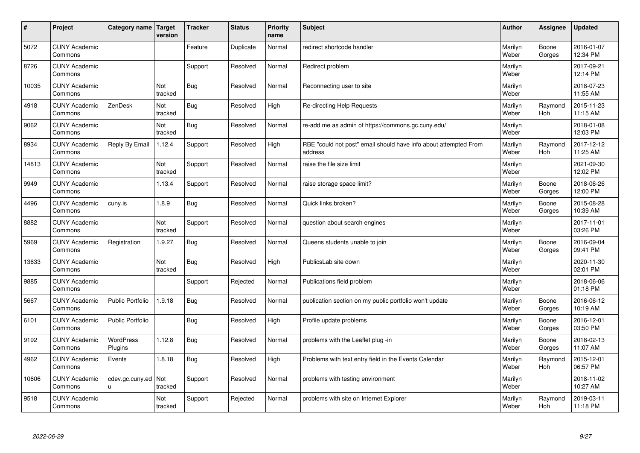| $\sharp$ | Project                         | Category name   Target      | version        | <b>Tracker</b> | <b>Status</b> | <b>Priority</b><br>name | <b>Subject</b>                                                              | <b>Author</b>    | Assignee              | <b>Updated</b>         |
|----------|---------------------------------|-----------------------------|----------------|----------------|---------------|-------------------------|-----------------------------------------------------------------------------|------------------|-----------------------|------------------------|
| 5072     | <b>CUNY Academic</b><br>Commons |                             |                | Feature        | Duplicate     | Normal                  | redirect shortcode handler                                                  | Marilyn<br>Weber | Boone<br>Gorges       | 2016-01-07<br>12:34 PM |
| 8726     | <b>CUNY Academic</b><br>Commons |                             |                | Support        | Resolved      | Normal                  | Redirect problem                                                            | Marilyn<br>Weber |                       | 2017-09-21<br>12:14 PM |
| 10035    | <b>CUNY Academic</b><br>Commons |                             | Not<br>tracked | Bug            | Resolved      | Normal                  | Reconnecting user to site                                                   | Marilyn<br>Weber |                       | 2018-07-23<br>11:55 AM |
| 4918     | <b>CUNY Academic</b><br>Commons | ZenDesk                     | Not<br>tracked | Bug            | Resolved      | High                    | Re-directing Help Requests                                                  | Marilyn<br>Weber | Raymond<br>Hoh        | 2015-11-23<br>11:15 AM |
| 9062     | <b>CUNY Academic</b><br>Commons |                             | Not<br>tracked | Bug            | Resolved      | Normal                  | re-add me as admin of https://commons.gc.cuny.edu/                          | Marilyn<br>Weber |                       | 2018-01-08<br>12:03 PM |
| 8934     | <b>CUNY Academic</b><br>Commons | Reply By Email              | 1.12.4         | Support        | Resolved      | High                    | RBE "could not post" email should have info about attempted From<br>address | Marilyn<br>Weber | Raymond<br>Hoh        | 2017-12-12<br>11:25 AM |
| 14813    | <b>CUNY Academic</b><br>Commons |                             | Not<br>tracked | Support        | Resolved      | Normal                  | raise the file size limit                                                   | Marilyn<br>Weber |                       | 2021-09-30<br>12:02 PM |
| 9949     | <b>CUNY Academic</b><br>Commons |                             | 1.13.4         | Support        | Resolved      | Normal                  | raise storage space limit?                                                  | Marilyn<br>Weber | Boone<br>Gorges       | 2018-06-26<br>12:00 PM |
| 4496     | <b>CUNY Academic</b><br>Commons | cuny.is                     | 1.8.9          | Bug            | Resolved      | Normal                  | Quick links broken?                                                         | Marilyn<br>Weber | Boone<br>Gorges       | 2015-08-28<br>10:39 AM |
| 8882     | <b>CUNY Academic</b><br>Commons |                             | Not<br>tracked | Support        | Resolved      | Normal                  | question about search engines                                               | Marilyn<br>Weber |                       | 2017-11-01<br>03:26 PM |
| 5969     | <b>CUNY Academic</b><br>Commons | Registration                | 1.9.27         | Bug            | Resolved      | Normal                  | Queens students unable to join                                              | Marilyn<br>Weber | Boone<br>Gorges       | 2016-09-04<br>09:41 PM |
| 13633    | <b>CUNY Academic</b><br>Commons |                             | Not<br>tracked | Bug            | Resolved      | High                    | PublicsLab site down                                                        | Marilyn<br>Weber |                       | 2020-11-30<br>02:01 PM |
| 9885     | <b>CUNY Academic</b><br>Commons |                             |                | Support        | Rejected      | Normal                  | Publications field problem                                                  | Marilyn<br>Weber |                       | 2018-06-06<br>01:18 PM |
| 5667     | <b>CUNY Academic</b><br>Commons | <b>Public Portfolio</b>     | 1.9.18         | Bug            | Resolved      | Normal                  | publication section on my public portfolio won't update                     | Marilyn<br>Weber | Boone<br>Gorges       | 2016-06-12<br>10:19 AM |
| 6101     | <b>CUNY Academic</b><br>Commons | Public Portfolio            |                | Bug            | Resolved      | High                    | Profile update problems                                                     | Marilyn<br>Weber | Boone<br>Gorges       | 2016-12-01<br>03:50 PM |
| 9192     | <b>CUNY Academic</b><br>Commons | <b>WordPress</b><br>Plugins | 1.12.8         | Bug            | Resolved      | Normal                  | problems with the Leaflet plug -in                                          | Marilyn<br>Weber | Boone<br>Gorges       | 2018-02-13<br>11:07 AM |
| 4962     | <b>CUNY Academic</b><br>Commons | Events                      | 1.8.18         | Bug            | Resolved      | High                    | Problems with text entry field in the Events Calendar                       | Marilyn<br>Weber | Raymond<br><b>Hoh</b> | 2015-12-01<br>06:57 PM |
| 10606    | <b>CUNY Academic</b><br>Commons | cdev.gc.cuny.ed<br>u.       | Not<br>tracked | Support        | Resolved      | Normal                  | problems with testing environment                                           | Marilyn<br>Weber |                       | 2018-11-02<br>10:27 AM |
| 9518     | <b>CUNY Academic</b><br>Commons |                             | Not<br>tracked | Support        | Rejected      | Normal                  | problems with site on Internet Explorer                                     | Marilyn<br>Weber | Raymond<br>Hoh        | 2019-03-11<br>11:18 PM |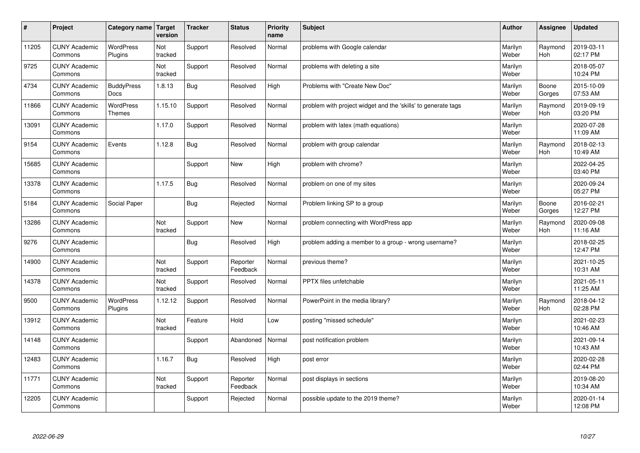| $\vert$ # | Project                         | Category name   Target           | version        | <b>Tracker</b> | <b>Status</b>        | <b>Priority</b><br>name | <b>Subject</b>                                                | <b>Author</b>    | Assignee              | <b>Updated</b>         |
|-----------|---------------------------------|----------------------------------|----------------|----------------|----------------------|-------------------------|---------------------------------------------------------------|------------------|-----------------------|------------------------|
| 11205     | <b>CUNY Academic</b><br>Commons | <b>WordPress</b><br>Plugins      | Not<br>tracked | Support        | Resolved             | Normal                  | problems with Google calendar                                 | Marilyn<br>Weber | Raymond<br><b>Hoh</b> | 2019-03-11<br>02:17 PM |
| 9725      | <b>CUNY Academic</b><br>Commons |                                  | Not<br>tracked | Support        | Resolved             | Normal                  | problems with deleting a site                                 | Marilyn<br>Weber |                       | 2018-05-07<br>10:24 PM |
| 4734      | <b>CUNY Academic</b><br>Commons | <b>BuddyPress</b><br><b>Docs</b> | 1.8.13         | <b>Bug</b>     | Resolved             | High                    | Problems with "Create New Doc"                                | Marilyn<br>Weber | Boone<br>Gorges       | 2015-10-09<br>07:53 AM |
| 11866     | <b>CUNY Academic</b><br>Commons | WordPress<br><b>Themes</b>       | 1.15.10        | Support        | Resolved             | Normal                  | problem with project widget and the 'skills' to generate tags | Marilyn<br>Weber | Raymond<br>Hoh        | 2019-09-19<br>03:20 PM |
| 13091     | <b>CUNY Academic</b><br>Commons |                                  | 1.17.0         | Support        | Resolved             | Normal                  | problem with latex (math equations)                           | Marilyn<br>Weber |                       | 2020-07-28<br>11:09 AM |
| 9154      | <b>CUNY Academic</b><br>Commons | Events                           | 1.12.8         | <b>Bug</b>     | Resolved             | Normal                  | problem with group calendar                                   | Marilyn<br>Weber | Raymond<br>Hoh        | 2018-02-13<br>10:49 AM |
| 15685     | <b>CUNY Academic</b><br>Commons |                                  |                | Support        | <b>New</b>           | High                    | problem with chrome?                                          | Marilyn<br>Weber |                       | 2022-04-25<br>03:40 PM |
| 13378     | <b>CUNY Academic</b><br>Commons |                                  | 1.17.5         | Bug            | Resolved             | Normal                  | problem on one of my sites                                    | Marilyn<br>Weber |                       | 2020-09-24<br>05:27 PM |
| 5184      | <b>CUNY Academic</b><br>Commons | Social Paper                     |                | Bug            | Rejected             | Normal                  | Problem linking SP to a group                                 | Marilyn<br>Weber | Boone<br>Gorges       | 2016-02-21<br>12:27 PM |
| 13286     | <b>CUNY Academic</b><br>Commons |                                  | Not<br>tracked | Support        | <b>New</b>           | Normal                  | problem connecting with WordPress app                         | Marilyn<br>Weber | Raymond<br>Hoh        | 2020-09-08<br>11:16 AM |
| 9276      | <b>CUNY Academic</b><br>Commons |                                  |                | <b>Bug</b>     | Resolved             | High                    | problem adding a member to a group - wrong username?          | Marilyn<br>Weber |                       | 2018-02-25<br>12:47 PM |
| 14900     | <b>CUNY Academic</b><br>Commons |                                  | Not<br>tracked | Support        | Reporter<br>Feedback | Normal                  | previous theme?                                               | Marilyn<br>Weber |                       | 2021-10-25<br>10:31 AM |
| 14378     | <b>CUNY Academic</b><br>Commons |                                  | Not<br>tracked | Support        | Resolved             | Normal                  | PPTX files unfetchable                                        | Marilyn<br>Weber |                       | 2021-05-11<br>11:25 AM |
| 9500      | <b>CUNY Academic</b><br>Commons | WordPress<br>Plugins             | 1.12.12        | Support        | Resolved             | Normal                  | PowerPoint in the media library?                              | Marilyn<br>Weber | Raymond<br>Hoh        | 2018-04-12<br>02:28 PM |
| 13912     | <b>CUNY Academic</b><br>Commons |                                  | Not<br>tracked | Feature        | Hold                 | Low                     | posting "missed schedule"                                     | Marilyn<br>Weber |                       | 2021-02-23<br>10:46 AM |
| 14148     | <b>CUNY Academic</b><br>Commons |                                  |                | Support        | Abandoned            | Normal                  | post notification problem                                     | Marilyn<br>Weber |                       | 2021-09-14<br>10:43 AM |
| 12483     | <b>CUNY Academic</b><br>Commons |                                  | 1.16.7         | <b>Bug</b>     | Resolved             | High                    | post error                                                    | Marilyn<br>Weber |                       | 2020-02-28<br>02:44 PM |
| 11771     | <b>CUNY Academic</b><br>Commons |                                  | Not<br>tracked | Support        | Reporter<br>Feedback | Normal                  | post displays in sections                                     | Marilyn<br>Weber |                       | 2019-08-20<br>10:34 AM |
| 12205     | <b>CUNY Academic</b><br>Commons |                                  |                | Support        | Rejected             | Normal                  | possible update to the 2019 theme?                            | Marilyn<br>Weber |                       | 2020-01-14<br>12:08 PM |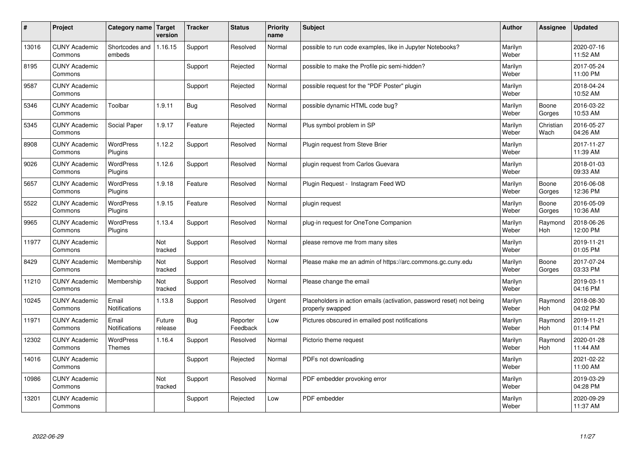| #     | Project                         | Category name   Target            | version           | <b>Tracker</b> | <b>Status</b>        | <b>Priority</b><br>name | <b>Subject</b>                                                                           | <b>Author</b>    | Assignee              | <b>Updated</b>         |
|-------|---------------------------------|-----------------------------------|-------------------|----------------|----------------------|-------------------------|------------------------------------------------------------------------------------------|------------------|-----------------------|------------------------|
| 13016 | <b>CUNY Academic</b><br>Commons | Shortcodes and<br>embeds          | 1.16.15           | Support        | Resolved             | Normal                  | possible to run code examples, like in Jupyter Notebooks?                                | Marilyn<br>Weber |                       | 2020-07-16<br>11:52 AM |
| 8195  | <b>CUNY Academic</b><br>Commons |                                   |                   | Support        | Rejected             | Normal                  | possible to make the Profile pic semi-hidden?                                            | Marilyn<br>Weber |                       | 2017-05-24<br>11:00 PM |
| 9587  | <b>CUNY Academic</b><br>Commons |                                   |                   | Support        | Rejected             | Normal                  | possible request for the "PDF Poster" plugin                                             | Marilyn<br>Weber |                       | 2018-04-24<br>10:52 AM |
| 5346  | <b>CUNY Academic</b><br>Commons | Toolbar                           | 1.9.11            | Bug            | Resolved             | Normal                  | possible dynamic HTML code bug?                                                          | Marilyn<br>Weber | Boone<br>Gorges       | 2016-03-22<br>10:53 AM |
| 5345  | <b>CUNY Academic</b><br>Commons | Social Paper                      | 1.9.17            | Feature        | Rejected             | Normal                  | Plus symbol problem in SP                                                                | Marilyn<br>Weber | Christian<br>Wach     | 2016-05-27<br>04:26 AM |
| 8908  | <b>CUNY Academic</b><br>Commons | WordPress<br>Plugins              | 1.12.2            | Support        | Resolved             | Normal                  | Plugin request from Steve Brier                                                          | Marilyn<br>Weber |                       | 2017-11-27<br>11:39 AM |
| 9026  | <b>CUNY Academic</b><br>Commons | <b>WordPress</b><br>Plugins       | 1.12.6            | Support        | Resolved             | Normal                  | plugin request from Carlos Guevara                                                       | Marilyn<br>Weber |                       | 2018-01-03<br>09:33 AM |
| 5657  | <b>CUNY Academic</b><br>Commons | <b>WordPress</b><br>Plugins       | 1.9.18            | Feature        | Resolved             | Normal                  | Plugin Reguest - Instagram Feed WD                                                       | Marilyn<br>Weber | Boone<br>Gorges       | 2016-06-08<br>12:36 PM |
| 5522  | <b>CUNY Academic</b><br>Commons | <b>WordPress</b><br>Plugins       | 1.9.15            | Feature        | Resolved             | Normal                  | plugin request                                                                           | Marilyn<br>Weber | Boone<br>Gorges       | 2016-05-09<br>10:36 AM |
| 9965  | <b>CUNY Academic</b><br>Commons | WordPress<br>Plugins              | 1.13.4            | Support        | Resolved             | Normal                  | plug-in request for OneTone Companion                                                    | Marilyn<br>Weber | Raymond<br>Hoh        | 2018-06-26<br>12:00 PM |
| 11977 | <b>CUNY Academic</b><br>Commons |                                   | Not<br>tracked    | Support        | Resolved             | Normal                  | please remove me from many sites                                                         | Marilyn<br>Weber |                       | 2019-11-21<br>01:05 PM |
| 8429  | <b>CUNY Academic</b><br>Commons | Membership                        | Not<br>tracked    | Support        | Resolved             | Normal                  | Please make me an admin of https://arc.commons.gc.cuny.edu                               | Marilyn<br>Weber | Boone<br>Gorges       | 2017-07-24<br>03:33 PM |
| 11210 | <b>CUNY Academic</b><br>Commons | Membership                        | Not<br>tracked    | Support        | Resolved             | Normal                  | Please change the email                                                                  | Marilyn<br>Weber |                       | 2019-03-11<br>04:16 PM |
| 10245 | <b>CUNY Academic</b><br>Commons | Email<br><b>Notifications</b>     | 1.13.8            | Support        | Resolved             | Urgent                  | Placeholders in action emails (activation, password reset) not being<br>properly swapped | Marilyn<br>Weber | Raymond<br><b>Hoh</b> | 2018-08-30<br>04:02 PM |
| 11971 | <b>CUNY Academic</b><br>Commons | Email<br>Notifications            | Future<br>release | Bug            | Reporter<br>Feedback | Low                     | Pictures obscured in emailed post notifications                                          | Marilyn<br>Weber | Raymond<br><b>Hoh</b> | 2019-11-21<br>01:14 PM |
| 12302 | <b>CUNY Academic</b><br>Commons | <b>WordPress</b><br><b>Themes</b> | 1.16.4            | Support        | Resolved             | Normal                  | Pictorio theme request                                                                   | Marilyn<br>Weber | Raymond<br><b>Hoh</b> | 2020-01-28<br>11:44 AM |
| 14016 | <b>CUNY Academic</b><br>Commons |                                   |                   | Support        | Rejected             | Normal                  | PDFs not downloading                                                                     | Marilyn<br>Weber |                       | 2021-02-22<br>11:00 AM |
| 10986 | <b>CUNY Academic</b><br>Commons |                                   | Not<br>tracked    | Support        | Resolved             | Normal                  | PDF embedder provoking error                                                             | Marilyn<br>Weber |                       | 2019-03-29<br>04:28 PM |
| 13201 | <b>CUNY Academic</b><br>Commons |                                   |                   | Support        | Rejected             | Low                     | PDF embedder                                                                             | Marilyn<br>Weber |                       | 2020-09-29<br>11:37 AM |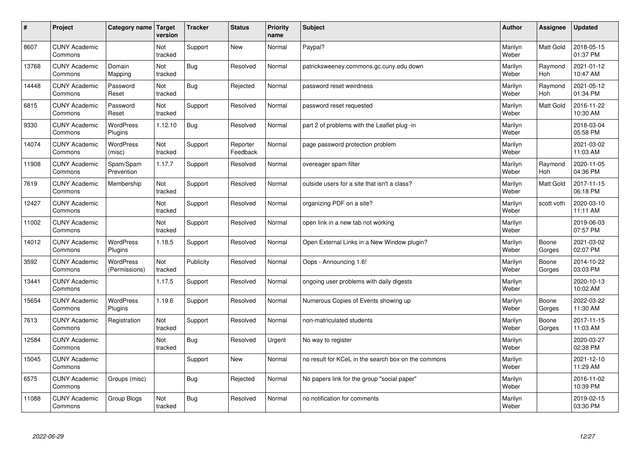| #     | Project                         | Category name                     | Target<br>version | <b>Tracker</b> | <b>Status</b>        | <b>Priority</b><br>name | <b>Subject</b>                                      | <b>Author</b>    | Assignee              | Updated                |
|-------|---------------------------------|-----------------------------------|-------------------|----------------|----------------------|-------------------------|-----------------------------------------------------|------------------|-----------------------|------------------------|
| 8607  | <b>CUNY Academic</b><br>Commons |                                   | Not<br>tracked    | Support        | <b>New</b>           | Normal                  | Paypal?                                             | Marilyn<br>Weber | <b>Matt Gold</b>      | 2018-05-15<br>01:37 PM |
| 13768 | <b>CUNY Academic</b><br>Commons | Domain<br>Mapping                 | Not<br>tracked    | Bug            | Resolved             | Normal                  | patricksweeney.commons.gc.cuny.edu down             | Marilyn<br>Weber | Raymond<br>Hoh        | 2021-01-12<br>10:47 AM |
| 14448 | <b>CUNY Academic</b><br>Commons | Password<br>Reset                 | Not<br>tracked    | Bug            | Rejected             | Normal                  | password reset weirdness                            | Marilyn<br>Weber | Raymond<br><b>Hoh</b> | 2021-05-12<br>01:34 PM |
| 6815  | <b>CUNY Academic</b><br>Commons | Password<br>Reset                 | Not<br>tracked    | Support        | Resolved             | Normal                  | password reset requested                            | Marilyn<br>Weber | <b>Matt Gold</b>      | 2016-11-22<br>10:30 AM |
| 9330  | <b>CUNY Academic</b><br>Commons | <b>WordPress</b><br>Plugins       | 1.12.10           | Bug            | Resolved             | Normal                  | part 2 of problems with the Leaflet plug -in        | Marilyn<br>Weber |                       | 2018-03-04<br>05:58 PM |
| 14074 | <b>CUNY Academic</b><br>Commons | WordPress<br>(misc)               | Not<br>tracked    | Support        | Reporter<br>Feedback | Normal                  | page password protection problem                    | Marilyn<br>Weber |                       | 2021-03-02<br>11:03 AM |
| 11908 | <b>CUNY Academic</b><br>Commons | Spam/Spam<br>Prevention           | 1.17.7            | Support        | Resolved             | Normal                  | overeager spam filter                               | Marilyn<br>Weber | Raymond<br>Hoh        | 2020-11-05<br>04:36 PM |
| 7619  | <b>CUNY Academic</b><br>Commons | Membership                        | Not<br>tracked    | Support        | Resolved             | Normal                  | outside users for a site that isn't a class?        | Marilyn<br>Weber | Matt Gold             | 2017-11-15<br>06:18 PM |
| 12427 | <b>CUNY Academic</b><br>Commons |                                   | Not<br>tracked    | Support        | Resolved             | Normal                  | organizing PDF on a site?                           | Marilyn<br>Weber | scott voth            | 2020-03-10<br>11:11 AM |
| 11002 | <b>CUNY Academic</b><br>Commons |                                   | Not<br>tracked    | Support        | Resolved             | Normal                  | open link in a new tab not working                  | Marilyn<br>Weber |                       | 2019-06-03<br>07:57 PM |
| 14012 | <b>CUNY Academic</b><br>Commons | <b>WordPress</b><br>Plugins       | 1.18.5            | Support        | Resolved             | Normal                  | Open External Links in a New Window plugin?         | Marilyn<br>Weber | Boone<br>Gorges       | 2021-03-02<br>02:07 PM |
| 3592  | <b>CUNY Academic</b><br>Commons | <b>WordPress</b><br>(Permissions) | Not<br>tracked    | Publicity      | Resolved             | Normal                  | Oops - Announcing 1.6!                              | Marilyn<br>Weber | Boone<br>Gorges       | 2014-10-22<br>03:03 PM |
| 13441 | <b>CUNY Academic</b><br>Commons |                                   | 1.17.5            | Support        | Resolved             | Normal                  | ongoing user problems with daily digests            | Marilyn<br>Weber |                       | 2020-10-13<br>10:02 AM |
| 15654 | <b>CUNY Academic</b><br>Commons | <b>WordPress</b><br>Plugins       | 1.19.6            | Support        | Resolved             | Normal                  | Numerous Copies of Events showing up                | Marilyn<br>Weber | Boone<br>Gorges       | 2022-03-22<br>11:30 AM |
| 7613  | <b>CUNY Academic</b><br>Commons | Registration                      | Not<br>tracked    | Support        | Resolved             | Normal                  | non-matriculated students                           | Marilyn<br>Weber | Boone<br>Gorges       | 2017-11-15<br>11:03 AM |
| 12584 | <b>CUNY Academic</b><br>Commons |                                   | Not<br>tracked    | Bug            | Resolved             | Urgent                  | No way to register                                  | Marilyn<br>Weber |                       | 2020-03-27<br>02:38 PM |
| 15045 | <b>CUNY Academic</b><br>Commons |                                   |                   | Support        | <b>New</b>           | Normal                  | no result for KCeL in the search box on the commons | Marilyn<br>Weber |                       | 2021-12-10<br>11:29 AM |
| 6575  | <b>CUNY Academic</b><br>Commons | Groups (misc)                     |                   | Bug            | Rejected             | Normal                  | No papers link for the group "social paper"         | Marilyn<br>Weber |                       | 2016-11-02<br>10:39 PM |
| 11088 | <b>CUNY Academic</b><br>Commons | Group Blogs                       | Not<br>tracked    | Bug            | Resolved             | Normal                  | no notification for comments                        | Marilyn<br>Weber |                       | 2019-02-15<br>03:30 PM |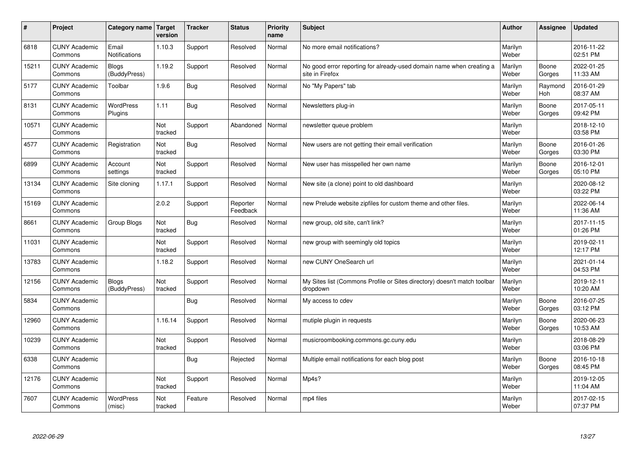| $\vert$ # | Project                         | Category name   Target       | version        | <b>Tracker</b> | <b>Status</b>        | <b>Priority</b><br>name | <b>Subject</b>                                                                          | <b>Author</b>    | Assignee        | <b>Updated</b>         |
|-----------|---------------------------------|------------------------------|----------------|----------------|----------------------|-------------------------|-----------------------------------------------------------------------------------------|------------------|-----------------|------------------------|
| 6818      | <b>CUNY Academic</b><br>Commons | Email<br>Notifications       | 1.10.3         | Support        | Resolved             | Normal                  | No more email notifications?                                                            | Marilyn<br>Weber |                 | 2016-11-22<br>02:51 PM |
| 15211     | <b>CUNY Academic</b><br>Commons | <b>Blogs</b><br>(BuddyPress) | 1.19.2         | Support        | Resolved             | Normal                  | No good error reporting for already-used domain name when creating a<br>site in Firefox | Marilyn<br>Weber | Boone<br>Gorges | 2022-01-25<br>11:33 AM |
| 5177      | <b>CUNY Academic</b><br>Commons | Toolbar                      | 1.9.6          | Bug            | Resolved             | Normal                  | No "My Papers" tab                                                                      | Marilyn<br>Weber | Raymond<br>Hoh  | 2016-01-29<br>08:37 AM |
| 8131      | <b>CUNY Academic</b><br>Commons | WordPress<br>Plugins         | 1.11           | Bug            | Resolved             | Normal                  | Newsletters plug-in                                                                     | Marilyn<br>Weber | Boone<br>Gorges | 2017-05-11<br>09:42 PM |
| 10571     | <b>CUNY Academic</b><br>Commons |                              | Not<br>tracked | Support        | Abandoned            | Normal                  | newsletter queue problem                                                                | Marilyn<br>Weber |                 | 2018-12-10<br>03:58 PM |
| 4577      | <b>CUNY Academic</b><br>Commons | Registration                 | Not<br>tracked | <b>Bug</b>     | Resolved             | Normal                  | New users are not getting their email verification                                      | Marilyn<br>Weber | Boone<br>Gorges | 2016-01-26<br>03:30 PM |
| 6899      | <b>CUNY Academic</b><br>Commons | Account<br>settings          | Not<br>tracked | Support        | Resolved             | Normal                  | New user has misspelled her own name                                                    | Marilyn<br>Weber | Boone<br>Gorges | 2016-12-01<br>05:10 PM |
| 13134     | <b>CUNY Academic</b><br>Commons | Site cloning                 | 1.17.1         | Support        | Resolved             | Normal                  | New site (a clone) point to old dashboard                                               | Marilyn<br>Weber |                 | 2020-08-12<br>03:22 PM |
| 15169     | <b>CUNY Academic</b><br>Commons |                              | 2.0.2          | Support        | Reporter<br>Feedback | Normal                  | new Prelude website zipfiles for custom theme and other files.                          | Marilyn<br>Weber |                 | 2022-06-14<br>11:36 AM |
| 8661      | <b>CUNY Academic</b><br>Commons | Group Blogs                  | Not<br>tracked | Bug            | Resolved             | Normal                  | new group, old site, can't link?                                                        | Marilyn<br>Weber |                 | 2017-11-15<br>01:26 PM |
| 11031     | <b>CUNY Academic</b><br>Commons |                              | Not<br>tracked | Support        | Resolved             | Normal                  | new group with seemingly old topics                                                     | Marilyn<br>Weber |                 | 2019-02-11<br>12:17 PM |
| 13783     | <b>CUNY Academic</b><br>Commons |                              | 1.18.2         | Support        | Resolved             | Normal                  | new CUNY OneSearch url                                                                  | Marilyn<br>Weber |                 | 2021-01-14<br>04:53 PM |
| 12156     | <b>CUNY Academic</b><br>Commons | <b>Blogs</b><br>(BuddyPress) | Not<br>tracked | Support        | Resolved             | Normal                  | My Sites list (Commons Profile or Sites directory) doesn't match toolbar<br>dropdown    | Marilyn<br>Weber |                 | 2019-12-11<br>10:20 AM |
| 5834      | <b>CUNY Academic</b><br>Commons |                              |                | Bug            | Resolved             | Normal                  | My access to cdev                                                                       | Marilyn<br>Weber | Boone<br>Gorges | 2016-07-25<br>03:12 PM |
| 12960     | <b>CUNY Academic</b><br>Commons |                              | 1.16.14        | Support        | Resolved             | Normal                  | mutiple plugin in requests                                                              | Marilyn<br>Weber | Boone<br>Gorges | 2020-06-23<br>10:53 AM |
| 10239     | <b>CUNY Academic</b><br>Commons |                              | Not<br>tracked | Support        | Resolved             | Normal                  | musicroombooking.commons.gc.cuny.edu                                                    | Marilyn<br>Weber |                 | 2018-08-29<br>03:06 PM |
| 6338      | <b>CUNY Academic</b><br>Commons |                              |                | Bug            | Rejected             | Normal                  | Multiple email notifications for each blog post                                         | Marilyn<br>Weber | Boone<br>Gorges | 2016-10-18<br>08:45 PM |
| 12176     | <b>CUNY Academic</b><br>Commons |                              | Not<br>tracked | Support        | Resolved             | Normal                  | Mp4s?                                                                                   | Marilyn<br>Weber |                 | 2019-12-05<br>11:04 AM |
| 7607      | <b>CUNY Academic</b><br>Commons | <b>WordPress</b><br>(misc)   | Not<br>tracked | Feature        | Resolved             | Normal                  | mp4 files                                                                               | Marilyn<br>Weber |                 | 2017-02-15<br>07:37 PM |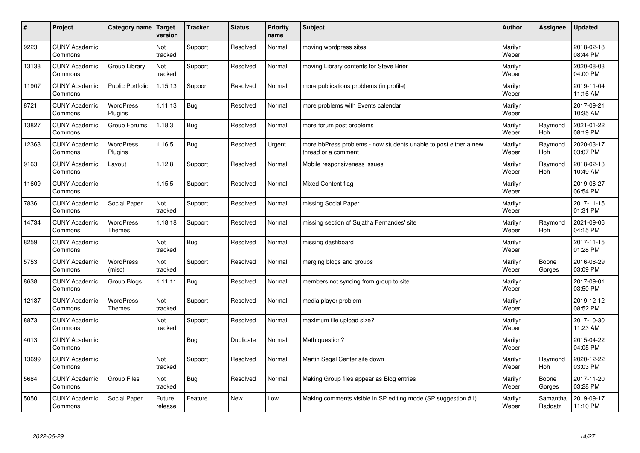| $\vert$ # | Project                         | Category name   Target            | version           | <b>Tracker</b> | <b>Status</b> | <b>Priority</b><br>name | <b>Subject</b>                                                                          | <b>Author</b>    | Assignee              | <b>Updated</b>         |
|-----------|---------------------------------|-----------------------------------|-------------------|----------------|---------------|-------------------------|-----------------------------------------------------------------------------------------|------------------|-----------------------|------------------------|
| 9223      | <b>CUNY Academic</b><br>Commons |                                   | Not<br>tracked    | Support        | Resolved      | Normal                  | moving wordpress sites                                                                  | Marilyn<br>Weber |                       | 2018-02-18<br>08:44 PM |
| 13138     | <b>CUNY Academic</b><br>Commons | Group Library                     | Not<br>tracked    | Support        | Resolved      | Normal                  | moving Library contents for Steve Brier                                                 | Marilyn<br>Weber |                       | 2020-08-03<br>04:00 PM |
| 11907     | <b>CUNY Academic</b><br>Commons | <b>Public Portfolio</b>           | 1.15.13           | Support        | Resolved      | Normal                  | more publications problems (in profile)                                                 | Marilyn<br>Weber |                       | 2019-11-04<br>11:16 AM |
| 8721      | <b>CUNY Academic</b><br>Commons | <b>WordPress</b><br>Plugins       | 1.11.13           | Bug            | Resolved      | Normal                  | more problems with Events calendar                                                      | Marilyn<br>Weber |                       | 2017-09-21<br>10:35 AM |
| 13827     | <b>CUNY Academic</b><br>Commons | Group Forums                      | 1.18.3            | Bug            | Resolved      | Normal                  | more forum post problems                                                                | Marilyn<br>Weber | Raymond<br>Hoh        | 2021-01-22<br>08:19 PM |
| 12363     | <b>CUNY Academic</b><br>Commons | WordPress<br>Plugins              | 1.16.5            | Bug            | Resolved      | Urgent                  | more bbPress problems - now students unable to post either a new<br>thread or a comment | Marilyn<br>Weber | Raymond<br><b>Hoh</b> | 2020-03-17<br>03:07 PM |
| 9163      | <b>CUNY Academic</b><br>Commons | Layout                            | 1.12.8            | Support        | Resolved      | Normal                  | Mobile responsiveness issues                                                            | Marilyn<br>Weber | Raymond<br>Hoh        | 2018-02-13<br>10:49 AM |
| 11609     | <b>CUNY Academic</b><br>Commons |                                   | 1.15.5            | Support        | Resolved      | Normal                  | <b>Mixed Content flag</b>                                                               | Marilyn<br>Weber |                       | 2019-06-27<br>06:54 PM |
| 7836      | <b>CUNY Academic</b><br>Commons | Social Paper                      | Not<br>tracked    | Support        | Resolved      | Normal                  | missing Social Paper                                                                    | Marilyn<br>Weber |                       | 2017-11-15<br>01:31 PM |
| 14734     | <b>CUNY Academic</b><br>Commons | WordPress<br><b>Themes</b>        | 1.18.18           | Support        | Resolved      | Normal                  | missing section of Sujatha Fernandes' site                                              | Marilyn<br>Weber | Raymond<br>Hoh        | 2021-09-06<br>04:15 PM |
| 8259      | <b>CUNY Academic</b><br>Commons |                                   | Not<br>tracked    | Bug            | Resolved      | Normal                  | missing dashboard                                                                       | Marilyn<br>Weber |                       | 2017-11-15<br>01:28 PM |
| 5753      | <b>CUNY Academic</b><br>Commons | <b>WordPress</b><br>(misc)        | Not<br>tracked    | Support        | Resolved      | Normal                  | merging blogs and groups                                                                | Marilyn<br>Weber | Boone<br>Gorges       | 2016-08-29<br>03:09 PM |
| 8638      | <b>CUNY Academic</b><br>Commons | Group Blogs                       | 1.11.11           | Bug            | Resolved      | Normal                  | members not syncing from group to site                                                  | Marilyn<br>Weber |                       | 2017-09-01<br>03:50 PM |
| 12137     | <b>CUNY Academic</b><br>Commons | <b>WordPress</b><br><b>Themes</b> | Not<br>tracked    | Support        | Resolved      | Normal                  | media player problem                                                                    | Marilyn<br>Weber |                       | 2019-12-12<br>08:52 PM |
| 8873      | <b>CUNY Academic</b><br>Commons |                                   | Not<br>tracked    | Support        | Resolved      | Normal                  | maximum file upload size?                                                               | Marilyn<br>Weber |                       | 2017-10-30<br>11:23 AM |
| 4013      | <b>CUNY Academic</b><br>Commons |                                   |                   | Bug            | Duplicate     | Normal                  | Math question?                                                                          | Marilyn<br>Weber |                       | 2015-04-22<br>04:05 PM |
| 13699     | <b>CUNY Academic</b><br>Commons |                                   | Not<br>tracked    | Support        | Resolved      | Normal                  | Martin Segal Center site down                                                           | Marilyn<br>Weber | Raymond<br>Hoh        | 2020-12-22<br>03:03 PM |
| 5684      | <b>CUNY Academic</b><br>Commons | <b>Group Files</b>                | Not<br>tracked    | Bug            | Resolved      | Normal                  | Making Group files appear as Blog entries                                               | Marilyn<br>Weber | Boone<br>Gorges       | 2017-11-20<br>03:28 PM |
| 5050      | <b>CUNY Academic</b><br>Commons | Social Paper                      | Future<br>release | Feature        | <b>New</b>    | Low                     | Making comments visible in SP editing mode (SP suggestion #1)                           | Marilyn<br>Weber | Samantha<br>Raddatz   | 2019-09-17<br>11:10 PM |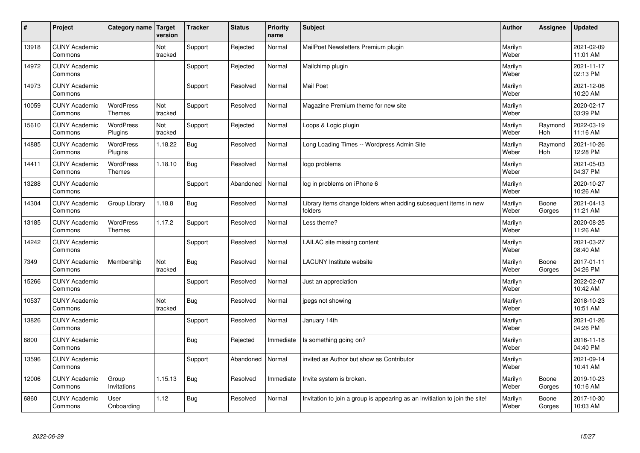| $\sharp$ | Project                         | Category name   Target            | version        | <b>Tracker</b> | <b>Status</b> | <b>Priority</b><br>name | <b>Subject</b>                                                              | <b>Author</b>    | Assignee        | <b>Updated</b>         |
|----------|---------------------------------|-----------------------------------|----------------|----------------|---------------|-------------------------|-----------------------------------------------------------------------------|------------------|-----------------|------------------------|
| 13918    | <b>CUNY Academic</b><br>Commons |                                   | Not<br>tracked | Support        | Rejected      | Normal                  | MailPoet Newsletters Premium plugin                                         | Marilyn<br>Weber |                 | 2021-02-09<br>11:01 AM |
| 14972    | <b>CUNY Academic</b><br>Commons |                                   |                | Support        | Rejected      | Normal                  | Mailchimp plugin                                                            | Marilyn<br>Weber |                 | 2021-11-17<br>02:13 PM |
| 14973    | <b>CUNY Academic</b><br>Commons |                                   |                | Support        | Resolved      | Normal                  | <b>Mail Poet</b>                                                            | Marilyn<br>Weber |                 | 2021-12-06<br>10:20 AM |
| 10059    | <b>CUNY Academic</b><br>Commons | <b>WordPress</b><br><b>Themes</b> | Not<br>tracked | Support        | Resolved      | Normal                  | Magazine Premium theme for new site                                         | Marilyn<br>Weber |                 | 2020-02-17<br>03:39 PM |
| 15610    | <b>CUNY Academic</b><br>Commons | <b>WordPress</b><br>Plugins       | Not<br>tracked | Support        | Rejected      | Normal                  | Loops & Logic plugin                                                        | Marilyn<br>Weber | Raymond<br>Hoh  | 2022-03-19<br>11:16 AM |
| 14885    | <b>CUNY Academic</b><br>Commons | WordPress<br>Plugins              | 1.18.22        | Bug            | Resolved      | Normal                  | Long Loading Times -- Wordpress Admin Site                                  | Marilyn<br>Weber | Raymond<br>Hoh  | 2021-10-26<br>12:28 PM |
| 14411    | <b>CUNY Academic</b><br>Commons | <b>WordPress</b><br><b>Themes</b> | 1.18.10        | Bug            | Resolved      | Normal                  | logo problems                                                               | Marilyn<br>Weber |                 | 2021-05-03<br>04:37 PM |
| 13288    | <b>CUNY Academic</b><br>Commons |                                   |                | Support        | Abandoned     | Normal                  | log in problems on iPhone 6                                                 | Marilyn<br>Weber |                 | 2020-10-27<br>10:26 AM |
| 14304    | <b>CUNY Academic</b><br>Commons | Group Library                     | 1.18.8         | Bug            | Resolved      | Normal                  | Library items change folders when adding subsequent items in new<br>folders | Marilyn<br>Weber | Boone<br>Gorges | 2021-04-13<br>11:21 AM |
| 13185    | <b>CUNY Academic</b><br>Commons | WordPress<br><b>Themes</b>        | 1.17.2         | Support        | Resolved      | Normal                  | Less theme?                                                                 | Marilyn<br>Weber |                 | 2020-08-25<br>11:26 AM |
| 14242    | <b>CUNY Academic</b><br>Commons |                                   |                | Support        | Resolved      | Normal                  | LAILAC site missing content                                                 | Marilyn<br>Weber |                 | 2021-03-27<br>08:40 AM |
| 7349     | <b>CUNY Academic</b><br>Commons | Membership                        | Not<br>tracked | <b>Bug</b>     | Resolved      | Normal                  | <b>LACUNY</b> Institute website                                             | Marilyn<br>Weber | Boone<br>Gorges | 2017-01-11<br>04:26 PM |
| 15266    | <b>CUNY Academic</b><br>Commons |                                   |                | Support        | Resolved      | Normal                  | Just an appreciation                                                        | Marilyn<br>Weber |                 | 2022-02-07<br>10:42 AM |
| 10537    | <b>CUNY Academic</b><br>Commons |                                   | Not<br>tracked | Bug            | Resolved      | Normal                  | jpegs not showing                                                           | Marilyn<br>Weber |                 | 2018-10-23<br>10:51 AM |
| 13826    | <b>CUNY Academic</b><br>Commons |                                   |                | Support        | Resolved      | Normal                  | January 14th                                                                | Marilyn<br>Weber |                 | 2021-01-26<br>04:26 PM |
| 6800     | <b>CUNY Academic</b><br>Commons |                                   |                | Bug            | Rejected      | Immediate               | Is something going on?                                                      | Marilyn<br>Weber |                 | 2016-11-18<br>04:40 PM |
| 13596    | <b>CUNY Academic</b><br>Commons |                                   |                | Support        | Abandoned     | Normal                  | invited as Author but show as Contributor                                   | Marilyn<br>Weber |                 | 2021-09-14<br>10:41 AM |
| 12006    | <b>CUNY Academic</b><br>Commons | Group<br>Invitations              | 1.15.13        | Bug            | Resolved      | Immediate               | Invite system is broken.                                                    | Marilyn<br>Weber | Boone<br>Gorges | 2019-10-23<br>10:16 AM |
| 6860     | <b>CUNY Academic</b><br>Commons | User<br>Onboarding                | 1.12           | Bug            | Resolved      | Normal                  | Invitation to join a group is appearing as an invitiation to join the site! | Marilyn<br>Weber | Boone<br>Gorges | 2017-10-30<br>10:03 AM |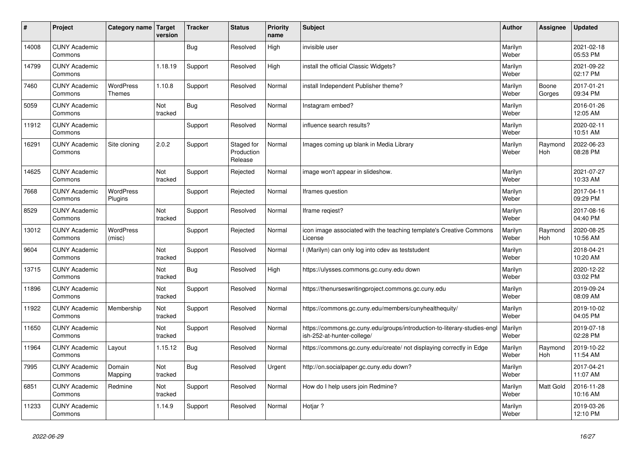| #     | Project                         | Category name   Target            | version        | <b>Tracker</b> | <b>Status</b>                       | <b>Priority</b><br>name | <b>Subject</b>                                                                                        | <b>Author</b>    | Assignee              | <b>Updated</b>         |
|-------|---------------------------------|-----------------------------------|----------------|----------------|-------------------------------------|-------------------------|-------------------------------------------------------------------------------------------------------|------------------|-----------------------|------------------------|
| 14008 | <b>CUNY Academic</b><br>Commons |                                   |                | Bug            | Resolved                            | High                    | invisible user                                                                                        | Marilyn<br>Weber |                       | 2021-02-18<br>05:53 PM |
| 14799 | <b>CUNY Academic</b><br>Commons |                                   | 1.18.19        | Support        | Resolved                            | High                    | install the official Classic Widgets?                                                                 | Marilyn<br>Weber |                       | 2021-09-22<br>02:17 PM |
| 7460  | <b>CUNY Academic</b><br>Commons | <b>WordPress</b><br><b>Themes</b> | 1.10.8         | Support        | Resolved                            | Normal                  | install Independent Publisher theme?                                                                  | Marilyn<br>Weber | Boone<br>Gorges       | 2017-01-21<br>09:34 PM |
| 5059  | <b>CUNY Academic</b><br>Commons |                                   | Not<br>tracked | Bug            | Resolved                            | Normal                  | Instagram embed?                                                                                      | Marilyn<br>Weber |                       | 2016-01-26<br>12:05 AM |
| 11912 | <b>CUNY Academic</b><br>Commons |                                   |                | Support        | Resolved                            | Normal                  | influence search results?                                                                             | Marilyn<br>Weber |                       | 2020-02-11<br>10:51 AM |
| 16291 | <b>CUNY Academic</b><br>Commons | Site cloning                      | 2.0.2          | Support        | Staged for<br>Production<br>Release | Normal                  | Images coming up blank in Media Library                                                               | Marilyn<br>Weber | Raymond<br><b>Hoh</b> | 2022-06-23<br>08:28 PM |
| 14625 | <b>CUNY Academic</b><br>Commons |                                   | Not<br>tracked | Support        | Rejected                            | Normal                  | image won't appear in slideshow.                                                                      | Marilyn<br>Weber |                       | 2021-07-27<br>10:33 AM |
| 7668  | <b>CUNY Academic</b><br>Commons | <b>WordPress</b><br>Plugins       |                | Support        | Rejected                            | Normal                  | Iframes question                                                                                      | Marilyn<br>Weber |                       | 2017-04-11<br>09:29 PM |
| 8529  | <b>CUNY Academic</b><br>Commons |                                   | Not<br>tracked | Support        | Resolved                            | Normal                  | Iframe regiest?                                                                                       | Marilyn<br>Weber |                       | 2017-08-16<br>04:40 PM |
| 13012 | <b>CUNY Academic</b><br>Commons | <b>WordPress</b><br>(misc)        |                | Support        | Rejected                            | Normal                  | icon image associated with the teaching template's Creative Commons<br>License                        | Marilyn<br>Weber | Raymond<br><b>Hoh</b> | 2020-08-25<br>10:56 AM |
| 9604  | <b>CUNY Academic</b><br>Commons |                                   | Not<br>tracked | Support        | Resolved                            | Normal                  | I (Marilyn) can only log into cdev as teststudent                                                     | Marilyn<br>Weber |                       | 2018-04-21<br>10:20 AM |
| 13715 | <b>CUNY Academic</b><br>Commons |                                   | Not<br>tracked | Bug            | Resolved                            | High                    | https://ulysses.commons.gc.cuny.edu down                                                              | Marilyn<br>Weber |                       | 2020-12-22<br>03:02 PM |
| 11896 | <b>CUNY Academic</b><br>Commons |                                   | Not<br>tracked | Support        | Resolved                            | Normal                  | https://thenurseswritingproject.commons.gc.cuny.edu                                                   | Marilyn<br>Weber |                       | 2019-09-24<br>08:09 AM |
| 11922 | <b>CUNY Academic</b><br>Commons | Membership                        | Not<br>tracked | Support        | Resolved                            | Normal                  | https://commons.gc.cuny.edu/members/cunyhealthequity/                                                 | Marilyn<br>Weber |                       | 2019-10-02<br>04:05 PM |
| 11650 | <b>CUNY Academic</b><br>Commons |                                   | Not<br>tracked | Support        | Resolved                            | Normal                  | https://commons.gc.cuny.edu/groups/introduction-to-literary-studies-eng<br>ish-252-at-hunter-college/ | Marilyn<br>Weber |                       | 2019-07-18<br>02:28 PM |
| 11964 | <b>CUNY Academic</b><br>Commons | Layout                            | 1.15.12        | Bug            | Resolved                            | Normal                  | https://commons.gc.cuny.edu/create/ not displaying correctly in Edge                                  | Marilyn<br>Weber | Raymond<br><b>Hoh</b> | 2019-10-22<br>11:54 AM |
| 7995  | <b>CUNY Academic</b><br>Commons | Domain<br>Mapping                 | Not<br>tracked | <b>Bug</b>     | Resolved                            | Urgent                  | http://on.socialpaper.gc.cuny.edu down?                                                               | Marilyn<br>Weber |                       | 2017-04-21<br>11:07 AM |
| 6851  | <b>CUNY Academic</b><br>Commons | Redmine                           | Not<br>tracked | Support        | Resolved                            | Normal                  | How do I help users join Redmine?                                                                     | Marilyn<br>Weber | <b>Matt Gold</b>      | 2016-11-28<br>10:16 AM |
| 11233 | <b>CUNY Academic</b><br>Commons |                                   | 1.14.9         | Support        | Resolved                            | Normal                  | Hotjar?                                                                                               | Marilyn<br>Weber |                       | 2019-03-26<br>12:10 PM |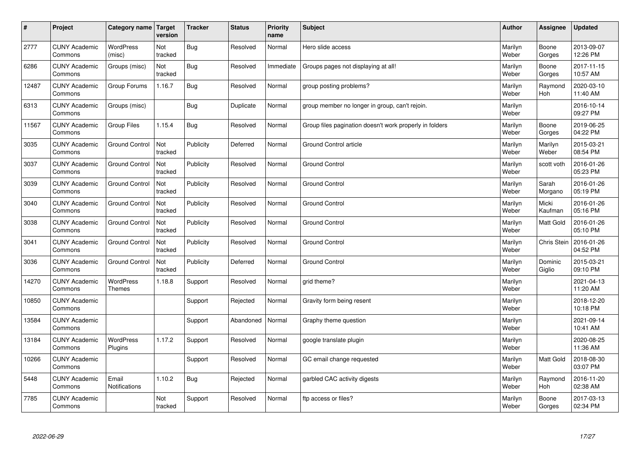| $\pmb{\#}$ | Project                         | Category name                 | Target<br>version | <b>Tracker</b> | <b>Status</b> | <b>Priority</b><br>name | <b>Subject</b>                                          | <b>Author</b>    | Assignee              | <b>Updated</b>         |
|------------|---------------------------------|-------------------------------|-------------------|----------------|---------------|-------------------------|---------------------------------------------------------|------------------|-----------------------|------------------------|
| 2777       | <b>CUNY Academic</b><br>Commons | <b>WordPress</b><br>(misc)    | Not<br>tracked    | <b>Bug</b>     | Resolved      | Normal                  | Hero slide access                                       | Marilyn<br>Weber | Boone<br>Gorges       | 2013-09-07<br>12:26 PM |
| 6286       | <b>CUNY Academic</b><br>Commons | Groups (misc)                 | Not<br>tracked    | Bug            | Resolved      | Immediate               | Groups pages not displaying at all!                     | Marilyn<br>Weber | Boone<br>Gorges       | 2017-11-15<br>10:57 AM |
| 12487      | <b>CUNY Academic</b><br>Commons | Group Forums                  | 1.16.7            | Bug            | Resolved      | Normal                  | group posting problems?                                 | Marilyn<br>Weber | Raymond<br><b>Hoh</b> | 2020-03-10<br>11:40 AM |
| 6313       | <b>CUNY Academic</b><br>Commons | Groups (misc)                 |                   | <b>Bug</b>     | Duplicate     | Normal                  | group member no longer in group, can't rejoin.          | Marilyn<br>Weber |                       | 2016-10-14<br>09:27 PM |
| 11567      | <b>CUNY Academic</b><br>Commons | Group Files                   | 1.15.4            | <b>Bug</b>     | Resolved      | Normal                  | Group files pagination doesn't work properly in folders | Marilyn<br>Weber | Boone<br>Gorges       | 2019-06-25<br>04:22 PM |
| 3035       | <b>CUNY Academic</b><br>Commons | <b>Ground Control</b>         | Not<br>tracked    | Publicity      | Deferred      | Normal                  | Ground Control article                                  | Marilyn<br>Weber | Marilyn<br>Weber      | 2015-03-21<br>08:54 PM |
| 3037       | <b>CUNY Academic</b><br>Commons | <b>Ground Control</b>         | Not<br>tracked    | Publicity      | Resolved      | Normal                  | <b>Ground Control</b>                                   | Marilyn<br>Weber | scott voth            | 2016-01-26<br>05:23 PM |
| 3039       | <b>CUNY Academic</b><br>Commons | <b>Ground Control</b>         | Not<br>tracked    | Publicity      | Resolved      | Normal                  | <b>Ground Control</b>                                   | Marilyn<br>Weber | Sarah<br>Morgano      | 2016-01-26<br>05:19 PM |
| 3040       | <b>CUNY Academic</b><br>Commons | <b>Ground Control</b>         | Not<br>tracked    | Publicity      | Resolved      | Normal                  | <b>Ground Control</b>                                   | Marilyn<br>Weber | Micki<br>Kaufman      | 2016-01-26<br>05:16 PM |
| 3038       | <b>CUNY Academic</b><br>Commons | <b>Ground Control</b>         | Not<br>tracked    | Publicity      | Resolved      | Normal                  | <b>Ground Control</b>                                   | Marilyn<br>Weber | Matt Gold             | 2016-01-26<br>05:10 PM |
| 3041       | <b>CUNY Academic</b><br>Commons | <b>Ground Control</b>         | Not<br>tracked    | Publicity      | Resolved      | Normal                  | <b>Ground Control</b>                                   | Marilyn<br>Weber | <b>Chris Stein</b>    | 2016-01-26<br>04:52 PM |
| 3036       | <b>CUNY Academic</b><br>Commons | <b>Ground Control</b>         | Not<br>tracked    | Publicity      | Deferred      | Normal                  | <b>Ground Control</b>                                   | Marilyn<br>Weber | Dominic<br>Giglio     | 2015-03-21<br>09:10 PM |
| 14270      | <b>CUNY Academic</b><br>Commons | WordPress<br><b>Themes</b>    | 1.18.8            | Support        | Resolved      | Normal                  | grid theme?                                             | Marilyn<br>Weber |                       | 2021-04-13<br>11:20 AM |
| 10850      | <b>CUNY Academic</b><br>Commons |                               |                   | Support        | Rejected      | Normal                  | Gravity form being resent                               | Marilyn<br>Weber |                       | 2018-12-20<br>10:18 PM |
| 13584      | <b>CUNY Academic</b><br>Commons |                               |                   | Support        | Abandoned     | Normal                  | Graphy theme question                                   | Marilyn<br>Weber |                       | 2021-09-14<br>10:41 AM |
| 13184      | <b>CUNY Academic</b><br>Commons | <b>WordPress</b><br>Plugins   | 1.17.2            | Support        | Resolved      | Normal                  | google translate plugin                                 | Marilyn<br>Weber |                       | 2020-08-25<br>11:36 AM |
| 10266      | <b>CUNY Academic</b><br>Commons |                               |                   | Support        | Resolved      | Normal                  | GC email change requested                               | Marilyn<br>Weber | Matt Gold             | 2018-08-30<br>03:07 PM |
| 5448       | <b>CUNY Academic</b><br>Commons | Email<br><b>Notifications</b> | 1.10.2            | Bug            | Rejected      | Normal                  | garbled CAC activity digests                            | Marilyn<br>Weber | Raymond<br>Hoh        | 2016-11-20<br>02:38 AM |
| 7785       | <b>CUNY Academic</b><br>Commons |                               | Not<br>tracked    | Support        | Resolved      | Normal                  | ftp access or files?                                    | Marilyn<br>Weber | Boone<br>Gorges       | 2017-03-13<br>02:34 PM |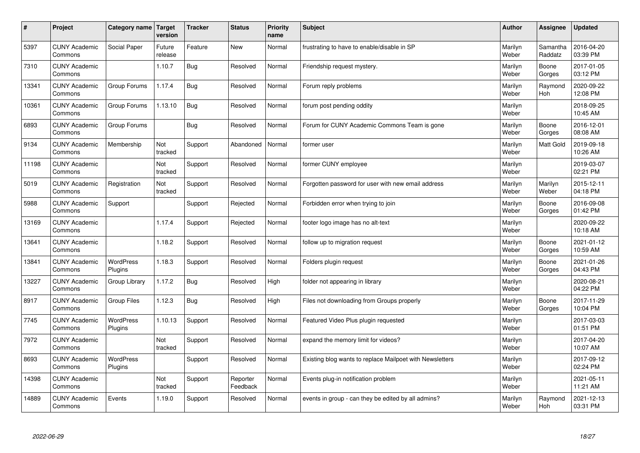| $\sharp$ | Project                         | Category name   Target      | version           | <b>Tracker</b> | <b>Status</b>        | <b>Priority</b><br>name | <b>Subject</b>                                           | <b>Author</b>    | Assignee              | <b>Updated</b>         |
|----------|---------------------------------|-----------------------------|-------------------|----------------|----------------------|-------------------------|----------------------------------------------------------|------------------|-----------------------|------------------------|
| 5397     | <b>CUNY Academic</b><br>Commons | Social Paper                | Future<br>release | Feature        | <b>New</b>           | Normal                  | frustrating to have to enable/disable in SP              | Marilyn<br>Weber | Samantha<br>Raddatz   | 2016-04-20<br>03:39 PM |
| 7310     | <b>CUNY Academic</b><br>Commons |                             | 1.10.7            | Bug            | Resolved             | Normal                  | Friendship request mystery.                              | Marilyn<br>Weber | Boone<br>Gorges       | 2017-01-05<br>03:12 PM |
| 13341    | <b>CUNY Academic</b><br>Commons | Group Forums                | 1.17.4            | Bug            | Resolved             | Normal                  | Forum reply problems                                     | Marilyn<br>Weber | Raymond<br><b>Hoh</b> | 2020-09-22<br>12:08 PM |
| 10361    | <b>CUNY Academic</b><br>Commons | Group Forums                | 1.13.10           | Bug            | Resolved             | Normal                  | forum post pending oddity                                | Marilyn<br>Weber |                       | 2018-09-25<br>10:45 AM |
| 6893     | <b>CUNY Academic</b><br>Commons | Group Forums                |                   | Bug            | Resolved             | Normal                  | Forum for CUNY Academic Commons Team is gone             | Marilyn<br>Weber | Boone<br>Gorges       | 2016-12-01<br>08:08 AM |
| 9134     | <b>CUNY Academic</b><br>Commons | Membership                  | Not<br>tracked    | Support        | Abandoned            | Normal                  | former user                                              | Marilyn<br>Weber | <b>Matt Gold</b>      | 2019-09-18<br>10:26 AM |
| 11198    | <b>CUNY Academic</b><br>Commons |                             | Not<br>tracked    | Support        | Resolved             | Normal                  | former CUNY employee                                     | Marilyn<br>Weber |                       | 2019-03-07<br>02:21 PM |
| 5019     | <b>CUNY Academic</b><br>Commons | Registration                | Not<br>tracked    | Support        | Resolved             | Normal                  | Forgotten password for user with new email address       | Marilyn<br>Weber | Marilyn<br>Weber      | 2015-12-11<br>04:18 PM |
| 5988     | <b>CUNY Academic</b><br>Commons | Support                     |                   | Support        | Rejected             | Normal                  | Forbidden error when trying to join                      | Marilyn<br>Weber | Boone<br>Gorges       | 2016-09-08<br>01:42 PM |
| 13169    | <b>CUNY Academic</b><br>Commons |                             | 1.17.4            | Support        | Rejected             | Normal                  | footer logo image has no alt-text                        | Marilyn<br>Weber |                       | 2020-09-22<br>10:18 AM |
| 13641    | <b>CUNY Academic</b><br>Commons |                             | 1.18.2            | Support        | Resolved             | Normal                  | follow up to migration request                           | Marilyn<br>Weber | Boone<br>Gorges       | 2021-01-12<br>10:59 AM |
| 13841    | <b>CUNY Academic</b><br>Commons | <b>WordPress</b><br>Plugins | 1.18.3            | Support        | Resolved             | Normal                  | Folders plugin request                                   | Marilyn<br>Weber | Boone<br>Gorges       | 2021-01-26<br>04:43 PM |
| 13227    | <b>CUNY Academic</b><br>Commons | Group Library               | 1.17.2            | <b>Bug</b>     | Resolved             | High                    | folder not appearing in library                          | Marilyn<br>Weber |                       | 2020-08-21<br>04:22 PM |
| 8917     | <b>CUNY Academic</b><br>Commons | Group Files                 | 1.12.3            | Bug            | Resolved             | High                    | Files not downloading from Groups properly               | Marilyn<br>Weber | Boone<br>Gorges       | 2017-11-29<br>10:04 PM |
| 7745     | <b>CUNY Academic</b><br>Commons | <b>WordPress</b><br>Plugins | 1.10.13           | Support        | Resolved             | Normal                  | Featured Video Plus plugin requested                     | Marilyn<br>Weber |                       | 2017-03-03<br>01:51 PM |
| 7972     | <b>CUNY Academic</b><br>Commons |                             | Not<br>tracked    | Support        | Resolved             | Normal                  | expand the memory limit for videos?                      | Marilyn<br>Weber |                       | 2017-04-20<br>10:07 AM |
| 8693     | <b>CUNY Academic</b><br>Commons | WordPress<br>Plugins        |                   | Support        | Resolved             | Normal                  | Existing blog wants to replace Mailpoet with Newsletters | Marilyn<br>Weber |                       | 2017-09-12<br>02:24 PM |
| 14398    | <b>CUNY Academic</b><br>Commons |                             | Not<br>tracked    | Support        | Reporter<br>Feedback | Normal                  | Events plug-in notification problem                      | Marilyn<br>Weber |                       | 2021-05-11<br>11:21 AM |
| 14889    | <b>CUNY Academic</b><br>Commons | Events                      | 1.19.0            | Support        | Resolved             | Normal                  | events in group - can they be edited by all admins?      | Marilyn<br>Weber | Raymond<br>Hoh        | 2021-12-13<br>03:31 PM |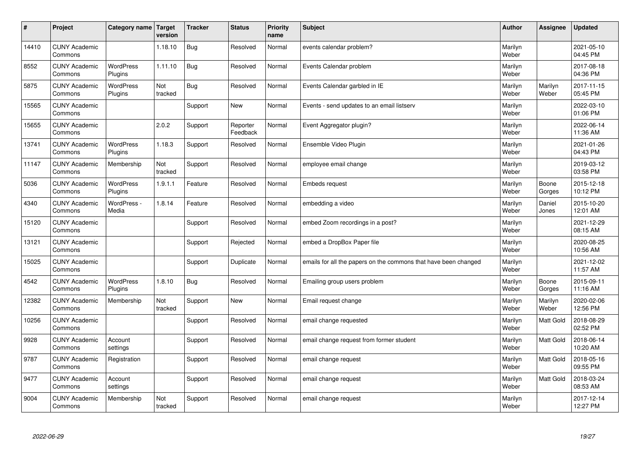| $\sharp$ | Project                         | Category name   Target      | version        | <b>Tracker</b> | <b>Status</b>        | <b>Priority</b><br>name | <b>Subject</b>                                                  | <b>Author</b>    | Assignee         | <b>Updated</b>         |
|----------|---------------------------------|-----------------------------|----------------|----------------|----------------------|-------------------------|-----------------------------------------------------------------|------------------|------------------|------------------------|
| 14410    | <b>CUNY Academic</b><br>Commons |                             | 1.18.10        | Bug            | Resolved             | Normal                  | events calendar problem?                                        | Marilyn<br>Weber |                  | 2021-05-10<br>04:45 PM |
| 8552     | <b>CUNY Academic</b><br>Commons | <b>WordPress</b><br>Plugins | 1.11.10        | Bug            | Resolved             | Normal                  | Events Calendar problem                                         | Marilyn<br>Weber |                  | 2017-08-18<br>04:36 PM |
| 5875     | <b>CUNY Academic</b><br>Commons | <b>WordPress</b><br>Plugins | Not<br>tracked | Bug            | Resolved             | Normal                  | Events Calendar garbled in IE                                   | Marilyn<br>Weber | Marilyn<br>Weber | 2017-11-15<br>05:45 PM |
| 15565    | <b>CUNY Academic</b><br>Commons |                             |                | Support        | <b>New</b>           | Normal                  | Events - send updates to an email listserv                      | Marilyn<br>Weber |                  | 2022-03-10<br>01:06 PM |
| 15655    | <b>CUNY Academic</b><br>Commons |                             | 2.0.2          | Support        | Reporter<br>Feedback | Normal                  | Event Aggregator plugin?                                        | Marilyn<br>Weber |                  | 2022-06-14<br>11:36 AM |
| 13741    | <b>CUNY Academic</b><br>Commons | <b>WordPress</b><br>Plugins | 1.18.3         | Support        | Resolved             | Normal                  | Ensemble Video Plugin                                           | Marilyn<br>Weber |                  | 2021-01-26<br>04:43 PM |
| 11147    | <b>CUNY Academic</b><br>Commons | Membership                  | Not<br>tracked | Support        | Resolved             | Normal                  | employee email change                                           | Marilyn<br>Weber |                  | 2019-03-12<br>03:58 PM |
| 5036     | <b>CUNY Academic</b><br>Commons | WordPress<br>Plugins        | 1.9.1.1        | Feature        | Resolved             | Normal                  | <b>Embeds request</b>                                           | Marilyn<br>Weber | Boone<br>Gorges  | 2015-12-18<br>10:12 PM |
| 4340     | <b>CUNY Academic</b><br>Commons | WordPress -<br>Media        | 1.8.14         | Feature        | Resolved             | Normal                  | embedding a video                                               | Marilyn<br>Weber | Daniel<br>Jones  | 2015-10-20<br>12:01 AM |
| 15120    | <b>CUNY Academic</b><br>Commons |                             |                | Support        | Resolved             | Normal                  | embed Zoom recordings in a post?                                | Marilyn<br>Weber |                  | 2021-12-29<br>08:15 AM |
| 13121    | <b>CUNY Academic</b><br>Commons |                             |                | Support        | Rejected             | Normal                  | embed a DropBox Paper file                                      | Marilyn<br>Weber |                  | 2020-08-25<br>10:56 AM |
| 15025    | <b>CUNY Academic</b><br>Commons |                             |                | Support        | Duplicate            | Normal                  | emails for all the papers on the commons that have been changed | Marilyn<br>Weber |                  | 2021-12-02<br>11:57 AM |
| 4542     | <b>CUNY Academic</b><br>Commons | <b>WordPress</b><br>Plugins | 1.8.10         | Bug            | Resolved             | Normal                  | Emailing group users problem                                    | Marilyn<br>Weber | Boone<br>Gorges  | 2015-09-11<br>11:16 AM |
| 12382    | <b>CUNY Academic</b><br>Commons | Membership                  | Not<br>tracked | Support        | <b>New</b>           | Normal                  | Email request change                                            | Marilyn<br>Weber | Marilyn<br>Weber | 2020-02-06<br>12:56 PM |
| 10256    | <b>CUNY Academic</b><br>Commons |                             |                | Support        | Resolved             | Normal                  | email change requested                                          | Marilyn<br>Weber | <b>Matt Gold</b> | 2018-08-29<br>02:52 PM |
| 9928     | <b>CUNY Academic</b><br>Commons | Account<br>settings         |                | Support        | Resolved             | Normal                  | email change request from former student                        | Marilyn<br>Weber | <b>Matt Gold</b> | 2018-06-14<br>10:20 AM |
| 9787     | <b>CUNY Academic</b><br>Commons | Registration                |                | Support        | Resolved             | Normal                  | email change request                                            | Marilyn<br>Weber | <b>Matt Gold</b> | 2018-05-16<br>09:55 PM |
| 9477     | <b>CUNY Academic</b><br>Commons | Account<br>settings         |                | Support        | Resolved             | Normal                  | email change request                                            | Marilyn<br>Weber | <b>Matt Gold</b> | 2018-03-24<br>08:53 AM |
| 9004     | <b>CUNY Academic</b><br>Commons | Membership                  | Not<br>tracked | Support        | Resolved             | Normal                  | email change request                                            | Marilyn<br>Weber |                  | 2017-12-14<br>12:27 PM |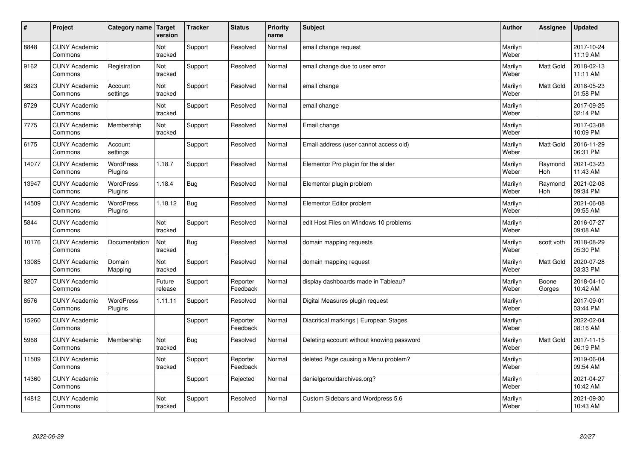| $\sharp$ | Project                         | Category name   Target      | version           | <b>Tracker</b> | <b>Status</b>        | <b>Priority</b><br>name | <b>Subject</b>                            | <b>Author</b>    | Assignee         | <b>Updated</b>         |
|----------|---------------------------------|-----------------------------|-------------------|----------------|----------------------|-------------------------|-------------------------------------------|------------------|------------------|------------------------|
| 8848     | <b>CUNY Academic</b><br>Commons |                             | Not<br>tracked    | Support        | Resolved             | Normal                  | email change request                      | Marilyn<br>Weber |                  | 2017-10-24<br>11:19 AM |
| 9162     | <b>CUNY Academic</b><br>Commons | Registration                | Not<br>tracked    | Support        | Resolved             | Normal                  | email change due to user error            | Marilyn<br>Weber | <b>Matt Gold</b> | 2018-02-13<br>11:11 AM |
| 9823     | <b>CUNY Academic</b><br>Commons | Account<br>settings         | Not<br>tracked    | Support        | Resolved             | Normal                  | email change                              | Marilyn<br>Weber | Matt Gold        | 2018-05-23<br>01:58 PM |
| 8729     | <b>CUNY Academic</b><br>Commons |                             | Not<br>tracked    | Support        | Resolved             | Normal                  | email change                              | Marilyn<br>Weber |                  | 2017-09-25<br>02:14 PM |
| 7775     | <b>CUNY Academic</b><br>Commons | Membership                  | Not<br>tracked    | Support        | Resolved             | Normal                  | Email change                              | Marilyn<br>Weber |                  | 2017-03-08<br>10:09 PM |
| 6175     | <b>CUNY Academic</b><br>Commons | Account<br>settings         |                   | Support        | Resolved             | Normal                  | Email address (user cannot access old)    | Marilyn<br>Weber | Matt Gold        | 2016-11-29<br>06:31 PM |
| 14077    | <b>CUNY Academic</b><br>Commons | <b>WordPress</b><br>Plugins | 1.18.7            | Support        | Resolved             | Normal                  | Elementor Pro plugin for the slider       | Marilyn<br>Weber | Raymond<br>Hoh   | 2021-03-23<br>11:43 AM |
| 13947    | <b>CUNY Academic</b><br>Commons | WordPress<br>Plugins        | 1.18.4            | <b>Bug</b>     | Resolved             | Normal                  | Elementor plugin problem                  | Marilyn<br>Weber | Raymond<br>Hoh   | 2021-02-08<br>09:34 PM |
| 14509    | <b>CUNY Academic</b><br>Commons | WordPress<br>Plugins        | 1.18.12           | Bug            | Resolved             | Normal                  | Elementor Editor problem                  | Marilyn<br>Weber |                  | 2021-06-08<br>09:55 AM |
| 5844     | <b>CUNY Academic</b><br>Commons |                             | Not<br>tracked    | Support        | Resolved             | Normal                  | edit Host Files on Windows 10 problems    | Marilyn<br>Weber |                  | 2016-07-27<br>09:08 AM |
| 10176    | <b>CUNY Academic</b><br>Commons | Documentation               | Not<br>tracked    | Bug            | Resolved             | Normal                  | domain mapping requests                   | Marilyn<br>Weber | scott voth       | 2018-08-29<br>05:30 PM |
| 13085    | <b>CUNY Academic</b><br>Commons | Domain<br>Mapping           | Not<br>tracked    | Support        | Resolved             | Normal                  | domain mapping request                    | Marilyn<br>Weber | Matt Gold        | 2020-07-28<br>03:33 PM |
| 9207     | <b>CUNY Academic</b><br>Commons |                             | Future<br>release | Support        | Reporter<br>Feedback | Normal                  | display dashboards made in Tableau?       | Marilyn<br>Weber | Boone<br>Gorges  | 2018-04-10<br>10:42 AM |
| 8576     | <b>CUNY Academic</b><br>Commons | <b>WordPress</b><br>Plugins | 1.11.11           | Support        | Resolved             | Normal                  | Digital Measures plugin request           | Marilyn<br>Weber |                  | 2017-09-01<br>03:44 PM |
| 15260    | <b>CUNY Academic</b><br>Commons |                             |                   | Support        | Reporter<br>Feedback | Normal                  | Diacritical markings   European Stages    | Marilyn<br>Weber |                  | 2022-02-04<br>08:16 AM |
| 5968     | <b>CUNY Academic</b><br>Commons | Membership                  | Not<br>tracked    | Bug            | Resolved             | Normal                  | Deleting account without knowing password | Marilyn<br>Weber | <b>Matt Gold</b> | 2017-11-15<br>06:19 PM |
| 11509    | <b>CUNY Academic</b><br>Commons |                             | Not<br>tracked    | Support        | Reporter<br>Feedback | Normal                  | deleted Page causing a Menu problem?      | Marilyn<br>Weber |                  | 2019-06-04<br>09:54 AM |
| 14360    | <b>CUNY Academic</b><br>Commons |                             |                   | Support        | Rejected             | Normal                  | danielgerouldarchives.org?                | Marilyn<br>Weber |                  | 2021-04-27<br>10:42 AM |
| 14812    | <b>CUNY Academic</b><br>Commons |                             | Not<br>tracked    | Support        | Resolved             | Normal                  | Custom Sidebars and Wordpress 5.6         | Marilyn<br>Weber |                  | 2021-09-30<br>10:43 AM |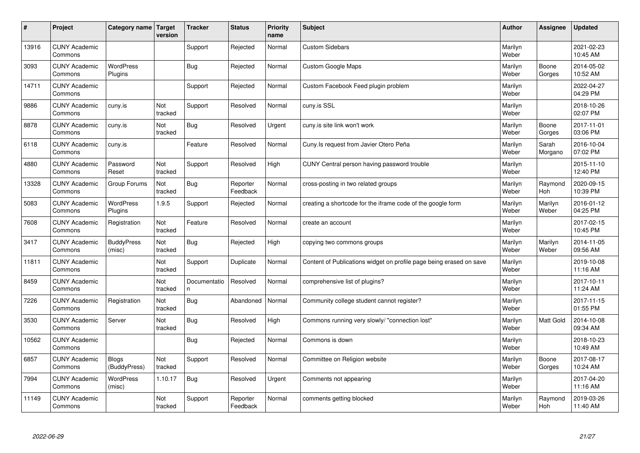| #     | Project                         | Category name   Target       | version        | <b>Tracker</b>    | <b>Status</b>        | <b>Priority</b><br>name | <b>Subject</b>                                                      | <b>Author</b>    | Assignee         | <b>Updated</b>         |
|-------|---------------------------------|------------------------------|----------------|-------------------|----------------------|-------------------------|---------------------------------------------------------------------|------------------|------------------|------------------------|
| 13916 | <b>CUNY Academic</b><br>Commons |                              |                | Support           | Rejected             | Normal                  | <b>Custom Sidebars</b>                                              | Marilyn<br>Weber |                  | 2021-02-23<br>10:45 AM |
| 3093  | <b>CUNY Academic</b><br>Commons | <b>WordPress</b><br>Plugins  |                | Bug               | Rejected             | Normal                  | Custom Google Maps                                                  | Marilyn<br>Weber | Boone<br>Gorges  | 2014-05-02<br>10:52 AM |
| 14711 | <b>CUNY Academic</b><br>Commons |                              |                | Support           | Rejected             | Normal                  | Custom Facebook Feed plugin problem                                 | Marilyn<br>Weber |                  | 2022-04-27<br>04:29 PM |
| 9886  | <b>CUNY Academic</b><br>Commons | cuny.is                      | Not<br>tracked | Support           | Resolved             | Normal                  | cuny.is SSL                                                         | Marilyn<br>Weber |                  | 2018-10-26<br>02:07 PM |
| 8878  | <b>CUNY Academic</b><br>Commons | cuny.is                      | Not<br>tracked | Bug               | Resolved             | Urgent                  | cuny is site link won't work                                        | Marilyn<br>Weber | Boone<br>Gorges  | 2017-11-01<br>03:06 PM |
| 6118  | <b>CUNY Academic</b><br>Commons | cuny.is                      |                | Feature           | Resolved             | Normal                  | Cuny. Is request from Javier Otero Peña                             | Marilyn<br>Weber | Sarah<br>Morgano | 2016-10-04<br>07:02 PM |
| 4880  | <b>CUNY Academic</b><br>Commons | Password<br>Reset            | Not<br>tracked | Support           | Resolved             | High                    | CUNY Central person having password trouble                         | Marilyn<br>Weber |                  | 2015-11-10<br>12:40 PM |
| 13328 | <b>CUNY Academic</b><br>Commons | Group Forums                 | Not<br>tracked | Bug               | Reporter<br>Feedback | Normal                  | cross-posting in two related groups                                 | Marilyn<br>Weber | Raymond<br>Hoh   | 2020-09-15<br>10:39 PM |
| 5083  | <b>CUNY Academic</b><br>Commons | WordPress<br>Plugins         | 1.9.5          | Support           | Rejected             | Normal                  | creating a shortcode for the iframe code of the google form         | Marilyn<br>Weber | Marilyn<br>Weber | 2016-01-12<br>04:25 PM |
| 7608  | <b>CUNY Academic</b><br>Commons | Registration                 | Not<br>tracked | Feature           | Resolved             | Normal                  | create an account                                                   | Marilyn<br>Weber |                  | 2017-02-15<br>10:45 PM |
| 3417  | <b>CUNY Academic</b><br>Commons | <b>BuddyPress</b><br>(misc)  | Not<br>tracked | Bug               | Rejected             | High                    | copying two commons groups                                          | Marilyn<br>Weber | Marilyn<br>Weber | 2014-11-05<br>09:56 AM |
| 11811 | <b>CUNY Academic</b><br>Commons |                              | Not<br>tracked | Support           | Duplicate            | Normal                  | Content of Publications widget on profile page being erased on save | Marilyn<br>Weber |                  | 2019-10-08<br>11:16 AM |
| 8459  | <b>CUNY Academic</b><br>Commons |                              | Not<br>tracked | Documentatio<br>n | Resolved             | Normal                  | comprehensive list of plugins?                                      | Marilyn<br>Weber |                  | 2017-10-11<br>11:24 AM |
| 7226  | <b>CUNY Academic</b><br>Commons | Registration                 | Not<br>tracked | Bug               | Abandoned            | Normal                  | Community college student cannot register?                          | Marilyn<br>Weber |                  | 2017-11-15<br>01:55 PM |
| 3530  | <b>CUNY Academic</b><br>Commons | Server                       | Not<br>tracked | Bug               | Resolved             | High                    | Commons running very slowly/ "connection lost"                      | Marilyn<br>Weber | Matt Gold        | 2014-10-08<br>09:34 AM |
| 10562 | <b>CUNY Academic</b><br>Commons |                              |                | Bug               | Rejected             | Normal                  | Commons is down                                                     | Marilyn<br>Weber |                  | 2018-10-23<br>10:49 AM |
| 6857  | <b>CUNY Academic</b><br>Commons | <b>Blogs</b><br>(BuddyPress) | Not<br>tracked | Support           | Resolved             | Normal                  | Committee on Religion website                                       | Marilyn<br>Weber | Boone<br>Gorges  | 2017-08-17<br>10:24 AM |
| 7994  | <b>CUNY Academic</b><br>Commons | WordPress<br>(misc)          | 1.10.17        | Bug               | Resolved             | Urgent                  | Comments not appearing                                              | Marilyn<br>Weber |                  | 2017-04-20<br>11:16 AM |
| 11149 | <b>CUNY Academic</b><br>Commons |                              | Not<br>tracked | Support           | Reporter<br>Feedback | Normal                  | comments getting blocked                                            | Marilyn<br>Weber | Raymond<br>Hoh   | 2019-03-26<br>11:40 AM |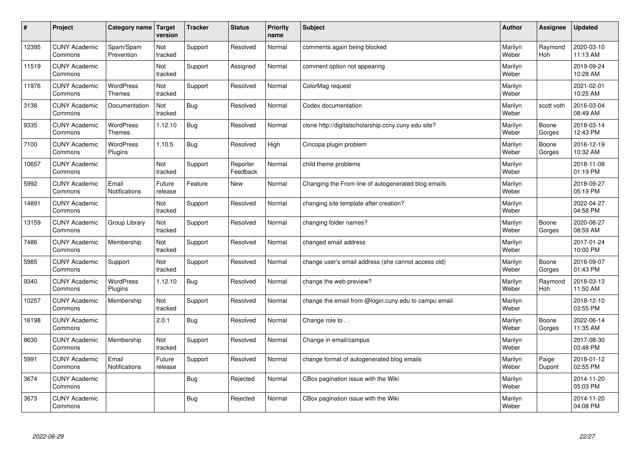| $\sharp$ | Project                         | Category name                     | Target<br>version | <b>Tracker</b> | <b>Status</b>        | <b>Priority</b><br>name | <b>Subject</b>                                       | <b>Author</b>    | Assignee              | Updated                |
|----------|---------------------------------|-----------------------------------|-------------------|----------------|----------------------|-------------------------|------------------------------------------------------|------------------|-----------------------|------------------------|
| 12395    | <b>CUNY Academic</b><br>Commons | Spam/Spam<br>Prevention           | Not<br>tracked    | Support        | Resolved             | Normal                  | comments again being blocked                         | Marilyn<br>Weber | Raymond<br><b>Hoh</b> | 2020-03-10<br>11:13 AM |
| 11519    | <b>CUNY Academic</b><br>Commons |                                   | Not<br>tracked    | Support        | Assigned             | Normal                  | comment option not appearing                         | Marilyn<br>Weber |                       | 2019-09-24<br>10:28 AM |
| 11976    | <b>CUNY Academic</b><br>Commons | <b>WordPress</b><br><b>Themes</b> | Not<br>tracked    | Support        | Resolved             | Normal                  | ColorMag request                                     | Marilyn<br>Weber |                       | 2021-02-01<br>10:25 AM |
| 3138     | <b>CUNY Academic</b><br>Commons | Documentation                     | Not<br>tracked    | Bug            | Resolved             | Normal                  | Codex documentation                                  | Marilyn<br>Weber | scott voth            | 2016-03-04<br>08:49 AM |
| 9335     | <b>CUNY Academic</b><br>Commons | <b>WordPress</b><br><b>Themes</b> | 1.12.10           | Bug            | Resolved             | Normal                  | clone http://digitalscholarship.ccny.cuny.edu site?  | Marilyn<br>Weber | Boone<br>Gorges       | 2018-03-14<br>12:43 PM |
| 7100     | <b>CUNY Academic</b><br>Commons | WordPress<br>Plugins              | 1.10.5            | Bug            | Resolved             | High                    | Cincopa plugin problem                               | Marilyn<br>Weber | Boone<br>Gorges       | 2016-12-19<br>10:32 AM |
| 10657    | <b>CUNY Academic</b><br>Commons |                                   | Not<br>tracked    | Support        | Reporter<br>Feedback | Normal                  | child theme problems                                 | Marilyn<br>Weber |                       | 2018-11-08<br>01:19 PM |
| 5992     | <b>CUNY Academic</b><br>Commons | Email<br>Notifications            | Future<br>release | Feature        | <b>New</b>           | Normal                  | Changing the From line of autogenerated blog emails  | Marilyn<br>Weber |                       | 2018-09-27<br>05:19 PM |
| 14891    | <b>CUNY Academic</b><br>Commons |                                   | Not<br>tracked    | Support        | Resolved             | Normal                  | changing site template after creation?               | Marilyn<br>Weber |                       | 2022-04-27<br>04:58 PM |
| 13159    | <b>CUNY Academic</b><br>Commons | Group Library                     | Not<br>tracked    | Support        | Resolved             | Normal                  | changing folder names?                               | Marilyn<br>Weber | Boone<br>Gorges       | 2020-08-27<br>08:59 AM |
| 7486     | <b>CUNY Academic</b><br>Commons | Membership                        | Not<br>tracked    | Support        | Resolved             | Normal                  | changed email address                                | Marilyn<br>Weber |                       | 2017-01-24<br>10:00 PM |
| 5985     | <b>CUNY Academic</b><br>Commons | Support                           | Not<br>tracked    | Support        | Resolved             | Normal                  | change user's email address (she cannot access old)  | Marilyn<br>Weber | Boone<br>Gorges       | 2016-09-07<br>01:43 PM |
| 9340     | <b>CUNY Academic</b><br>Commons | <b>WordPress</b><br>Plugins       | 1.12.10           | Bug            | Resolved             | Normal                  | change the web preview?                              | Marilyn<br>Weber | Raymond<br>Hoh        | 2018-03-13<br>11:50 AM |
| 10257    | <b>CUNY Academic</b><br>Commons | Membership                        | Not<br>tracked    | Support        | Resolved             | Normal                  | change the email from @login.cuny.edu to campu email | Marilyn<br>Weber |                       | 2018-12-10<br>03:55 PM |
| 16198    | <b>CUNY Academic</b><br>Commons |                                   | 2.0.1             | <b>Bug</b>     | Resolved             | Normal                  | Change role to                                       | Marilyn<br>Weber | Boone<br>Gorges       | 2022-06-14<br>11:35 AM |
| 8630     | <b>CUNY Academic</b><br>Commons | Membership                        | Not<br>tracked    | Support        | Resolved             | Normal                  | Change in email/campus                               | Marilyn<br>Weber |                       | 2017-08-30<br>03:48 PM |
| 5991     | <b>CUNY Academic</b><br>Commons | Email<br>Notifications            | Future<br>release | Support        | Resolved             | Normal                  | change format of autogenerated blog emails           | Marilyn<br>Weber | Paige<br>Dupont       | 2018-01-12<br>02:55 PM |
| 3674     | <b>CUNY Academic</b><br>Commons |                                   |                   | Bug            | Rejected             | Normal                  | CBox pagination issue with the Wiki                  | Marilyn<br>Weber |                       | 2014-11-20<br>05:03 PM |
| 3673     | <b>CUNY Academic</b><br>Commons |                                   |                   | <b>Bug</b>     | Rejected             | Normal                  | CBox pagination issue with the Wiki                  | Marilyn<br>Weber |                       | 2014-11-20<br>04:08 PM |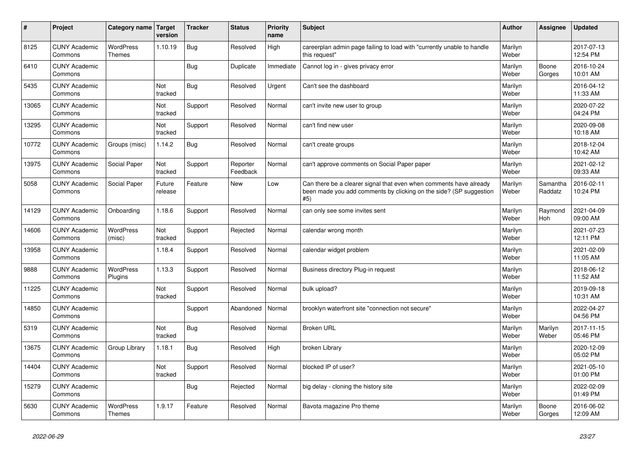| #     | Project                         | Category name Target              | version           | <b>Tracker</b> | <b>Status</b>        | <b>Priority</b><br>name | <b>Subject</b>                                                                                                                                  | <b>Author</b>    | <b>Assignee</b>     | <b>Updated</b>         |
|-------|---------------------------------|-----------------------------------|-------------------|----------------|----------------------|-------------------------|-------------------------------------------------------------------------------------------------------------------------------------------------|------------------|---------------------|------------------------|
| 8125  | <b>CUNY Academic</b><br>Commons | <b>WordPress</b><br><b>Themes</b> | 1.10.19           | <b>Bug</b>     | Resolved             | High                    | careerplan admin page failing to load with "currently unable to handle<br>this request"                                                         | Marilyn<br>Weber |                     | 2017-07-13<br>12:54 PM |
| 6410  | <b>CUNY Academic</b><br>Commons |                                   |                   | Bug            | Duplicate            | Immediate               | Cannot log in - gives privacy error                                                                                                             | Marilyn<br>Weber | Boone<br>Gorges     | 2016-10-24<br>10:01 AM |
| 5435  | <b>CUNY Academic</b><br>Commons |                                   | Not<br>tracked    | <b>Bug</b>     | Resolved             | Urgent                  | Can't see the dashboard                                                                                                                         | Marilyn<br>Weber |                     | 2016-04-12<br>11:33 AM |
| 13065 | <b>CUNY Academic</b><br>Commons |                                   | Not<br>tracked    | Support        | Resolved             | Normal                  | can't invite new user to group                                                                                                                  | Marilyn<br>Weber |                     | 2020-07-22<br>04:24 PM |
| 13295 | <b>CUNY Academic</b><br>Commons |                                   | Not<br>tracked    | Support        | Resolved             | Normal                  | can't find new user                                                                                                                             | Marilyn<br>Weber |                     | 2020-09-08<br>10:18 AM |
| 10772 | <b>CUNY Academic</b><br>Commons | Groups (misc)                     | 1.14.2            | <b>Bug</b>     | Resolved             | Normal                  | can't create groups                                                                                                                             | Marilyn<br>Weber |                     | 2018-12-04<br>10:42 AM |
| 13975 | <b>CUNY Academic</b><br>Commons | Social Paper                      | Not<br>tracked    | Support        | Reporter<br>Feedback | Normal                  | can't approve comments on Social Paper paper                                                                                                    | Marilyn<br>Weber |                     | 2021-02-12<br>09:33 AM |
| 5058  | <b>CUNY Academic</b><br>Commons | Social Paper                      | Future<br>release | Feature        | New                  | Low                     | Can there be a clearer signal that even when comments have already<br>been made you add comments by clicking on the side? (SP suggestion<br>#5) | Marilyn<br>Weber | Samantha<br>Raddatz | 2016-02-11<br>10:24 PM |
| 14129 | <b>CUNY Academic</b><br>Commons | Onboarding                        | 1.18.6            | Support        | Resolved             | Normal                  | can only see some invites sent                                                                                                                  | Marilyn<br>Weber | Raymond<br>Hoh      | 2021-04-09<br>09:00 AM |
| 14606 | <b>CUNY Academic</b><br>Commons | WordPress<br>(misc)               | Not<br>tracked    | Support        | Rejected             | Normal                  | calendar wrong month                                                                                                                            | Marilyn<br>Weber |                     | 2021-07-23<br>12:11 PM |
| 13958 | <b>CUNY Academic</b><br>Commons |                                   | 1.18.4            | Support        | Resolved             | Normal                  | calendar widget problem                                                                                                                         | Marilyn<br>Weber |                     | 2021-02-09<br>11:05 AM |
| 9888  | <b>CUNY Academic</b><br>Commons | <b>WordPress</b><br>Plugins       | 1.13.3            | Support        | Resolved             | Normal                  | Business directory Plug-in request                                                                                                              | Marilyn<br>Weber |                     | 2018-06-12<br>11:52 AM |
| 11225 | <b>CUNY Academic</b><br>Commons |                                   | Not<br>tracked    | Support        | Resolved             | Normal                  | bulk upload?                                                                                                                                    | Marilyn<br>Weber |                     | 2019-09-18<br>10:31 AM |
| 14850 | <b>CUNY Academic</b><br>Commons |                                   |                   | Support        | Abandoned            | Normal                  | brooklyn waterfront site "connection not secure"                                                                                                | Marilyn<br>Weber |                     | 2022-04-27<br>04:56 PM |
| 5319  | <b>CUNY Academic</b><br>Commons |                                   | Not<br>tracked    | Bug            | Resolved             | Normal                  | <b>Broken URL</b>                                                                                                                               | Marilyn<br>Weber | Marilyn<br>Weber    | 2017-11-15<br>05:46 PM |
| 13675 | <b>CUNY Academic</b><br>Commons | Group Library                     | 1.18.1            | Bug            | Resolved             | High                    | broken Library                                                                                                                                  | Marilyn<br>Weber |                     | 2020-12-09<br>05:02 PM |
| 14404 | <b>CUNY Academic</b><br>Commons |                                   | Not<br>tracked    | Support        | Resolved             | Normal                  | blocked IP of user?                                                                                                                             | Marilyn<br>Weber |                     | 2021-05-10<br>01:00 PM |
| 15279 | <b>CUNY Academic</b><br>Commons |                                   |                   | <b>Bug</b>     | Rejected             | Normal                  | big delay - cloning the history site                                                                                                            | Marilyn<br>Weber |                     | 2022-02-09<br>01:49 PM |
| 5630  | <b>CUNY Academic</b><br>Commons | <b>WordPress</b><br><b>Themes</b> | 1.9.17            | Feature        | Resolved             | Normal                  | Bavota magazine Pro theme                                                                                                                       | Marilyn<br>Weber | Boone<br>Gorges     | 2016-06-02<br>12:09 AM |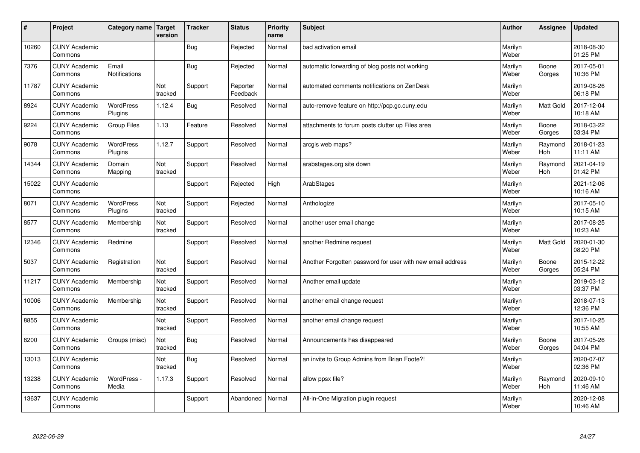| #     | Project                         | Category name   Target        | version        | <b>Tracker</b> | <b>Status</b>        | <b>Priority</b><br>name | <b>Subject</b>                                             | <b>Author</b>    | Assignee              | <b>Updated</b>         |
|-------|---------------------------------|-------------------------------|----------------|----------------|----------------------|-------------------------|------------------------------------------------------------|------------------|-----------------------|------------------------|
| 10260 | <b>CUNY Academic</b><br>Commons |                               |                | Bug            | Rejected             | Normal                  | bad activation email                                       | Marilyn<br>Weber |                       | 2018-08-30<br>01:25 PM |
| 7376  | <b>CUNY Academic</b><br>Commons | Email<br><b>Notifications</b> |                | <b>Bug</b>     | Rejected             | Normal                  | automatic forwarding of blog posts not working             | Marilyn<br>Weber | Boone<br>Gorges       | 2017-05-01<br>10:36 PM |
| 11787 | <b>CUNY Academic</b><br>Commons |                               | Not<br>tracked | Support        | Reporter<br>Feedback | Normal                  | automated comments notifications on ZenDesk                | Marilyn<br>Weber |                       | 2019-08-26<br>06:18 PM |
| 8924  | <b>CUNY Academic</b><br>Commons | <b>WordPress</b><br>Plugins   | 1.12.4         | Bug            | Resolved             | Normal                  | auto-remove feature on http://pcp.gc.cuny.edu              | Marilyn<br>Weber | Matt Gold             | 2017-12-04<br>10:18 AM |
| 9224  | <b>CUNY Academic</b><br>Commons | Group Files                   | 1.13           | Feature        | Resolved             | Normal                  | attachments to forum posts clutter up Files area           | Marilyn<br>Weber | Boone<br>Gorges       | 2018-03-22<br>03:34 PM |
| 9078  | <b>CUNY Academic</b><br>Commons | <b>WordPress</b><br>Plugins   | 1.12.7         | Support        | Resolved             | Normal                  | arcgis web maps?                                           | Marilyn<br>Weber | Raymond<br>Hoh        | 2018-01-23<br>11:11 AM |
| 14344 | <b>CUNY Academic</b><br>Commons | Domain<br>Mapping             | Not<br>tracked | Support        | Resolved             | Normal                  | arabstages.org site down                                   | Marilyn<br>Weber | Raymond<br>Hoh        | 2021-04-19<br>01:42 PM |
| 15022 | <b>CUNY Academic</b><br>Commons |                               |                | Support        | Rejected             | High                    | ArabStages                                                 | Marilyn<br>Weber |                       | 2021-12-06<br>10:16 AM |
| 8071  | <b>CUNY Academic</b><br>Commons | <b>WordPress</b><br>Plugins   | Not<br>tracked | Support        | Rejected             | Normal                  | Anthologize                                                | Marilyn<br>Weber |                       | 2017-05-10<br>10:15 AM |
| 8577  | <b>CUNY Academic</b><br>Commons | Membership                    | Not<br>tracked | Support        | Resolved             | Normal                  | another user email change                                  | Marilyn<br>Weber |                       | 2017-08-25<br>10:23 AM |
| 12346 | <b>CUNY Academic</b><br>Commons | Redmine                       |                | Support        | Resolved             | Normal                  | another Redmine request                                    | Marilyn<br>Weber | Matt Gold             | 2020-01-30<br>08:20 PM |
| 5037  | <b>CUNY Academic</b><br>Commons | Registration                  | Not<br>tracked | Support        | Resolved             | Normal                  | Another Forgotten password for user with new email address | Marilyn<br>Weber | Boone<br>Gorges       | 2015-12-22<br>05:24 PM |
| 11217 | <b>CUNY Academic</b><br>Commons | Membership                    | Not<br>tracked | Support        | Resolved             | Normal                  | Another email update                                       | Marilyn<br>Weber |                       | 2019-03-12<br>03:37 PM |
| 10006 | <b>CUNY Academic</b><br>Commons | Membership                    | Not<br>tracked | Support        | Resolved             | Normal                  | another email change request                               | Marilyn<br>Weber |                       | 2018-07-13<br>12:36 PM |
| 8855  | <b>CUNY Academic</b><br>Commons |                               | Not<br>tracked | Support        | Resolved             | Normal                  | another email change request                               | Marilyn<br>Weber |                       | 2017-10-25<br>10:55 AM |
| 8200  | <b>CUNY Academic</b><br>Commons | Groups (misc)                 | Not<br>tracked | <b>Bug</b>     | Resolved             | Normal                  | Announcements has disappeared                              | Marilyn<br>Weber | Boone<br>Gorges       | 2017-05-26<br>04:04 PM |
| 13013 | <b>CUNY Academic</b><br>Commons |                               | Not<br>tracked | Bug            | Resolved             | Normal                  | an invite to Group Admins from Brian Foote?!               | Marilyn<br>Weber |                       | 2020-07-07<br>02:36 PM |
| 13238 | <b>CUNY Academic</b><br>Commons | WordPress -<br>Media          | 1.17.3         | Support        | Resolved             | Normal                  | allow ppsx file?                                           | Marilyn<br>Weber | Raymond<br><b>Hoh</b> | 2020-09-10<br>11:46 AM |
| 13637 | <b>CUNY Academic</b><br>Commons |                               |                | Support        | Abandoned            | Normal                  | All-in-One Migration plugin request                        | Marilyn<br>Weber |                       | 2020-12-08<br>10:46 AM |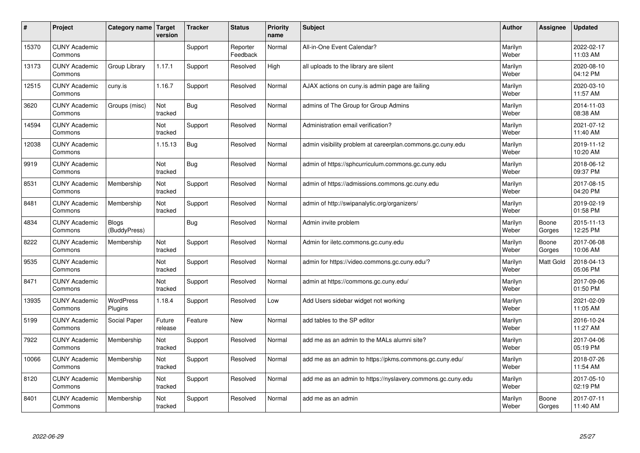| #     | Project                         | Category name   Target       | version           | <b>Tracker</b> | <b>Status</b>        | <b>Priority</b><br>name | <b>Subject</b>                                              | <b>Author</b>    | Assignee         | Updated                |
|-------|---------------------------------|------------------------------|-------------------|----------------|----------------------|-------------------------|-------------------------------------------------------------|------------------|------------------|------------------------|
| 15370 | <b>CUNY Academic</b><br>Commons |                              |                   | Support        | Reporter<br>Feedback | Normal                  | All-in-One Event Calendar?                                  | Marilyn<br>Weber |                  | 2022-02-17<br>11:03 AM |
| 13173 | <b>CUNY Academic</b><br>Commons | Group Library                | 1.17.1            | Support        | Resolved             | High                    | all uploads to the library are silent                       | Marilyn<br>Weber |                  | 2020-08-10<br>04:12 PM |
| 12515 | <b>CUNY Academic</b><br>Commons | cuny.is                      | 1.16.7            | Support        | Resolved             | Normal                  | AJAX actions on cuny is admin page are failing              | Marilyn<br>Weber |                  | 2020-03-10<br>11:57 AM |
| 3620  | <b>CUNY Academic</b><br>Commons | Groups (misc)                | Not<br>tracked    | <b>Bug</b>     | Resolved             | Normal                  | admins of The Group for Group Admins                        | Marilyn<br>Weber |                  | 2014-11-03<br>08:38 AM |
| 14594 | <b>CUNY Academic</b><br>Commons |                              | Not<br>tracked    | Support        | Resolved             | Normal                  | Administration email verification?                          | Marilyn<br>Weber |                  | 2021-07-12<br>11:40 AM |
| 12038 | <b>CUNY Academic</b><br>Commons |                              | 1.15.13           | <b>Bug</b>     | Resolved             | Normal                  | admin visibility problem at careerplan.commons.gc.cuny.edu  | Marilyn<br>Weber |                  | 2019-11-12<br>10:20 AM |
| 9919  | <b>CUNY Academic</b><br>Commons |                              | Not<br>tracked    | Bug            | Resolved             | Normal                  | admin of https://sphcurriculum.commons.gc.cuny.edu          | Marilyn<br>Weber |                  | 2018-06-12<br>09:37 PM |
| 8531  | <b>CUNY Academic</b><br>Commons | Membership                   | Not<br>tracked    | Support        | Resolved             | Normal                  | admin of https://admissions.commons.gc.cuny.edu             | Marilyn<br>Weber |                  | 2017-08-15<br>04:20 PM |
| 8481  | <b>CUNY Academic</b><br>Commons | Membership                   | Not<br>tracked    | Support        | Resolved             | Normal                  | admin of http://swipanalytic.org/organizers/                | Marilyn<br>Weber |                  | 2019-02-19<br>01:58 PM |
| 4834  | <b>CUNY Academic</b><br>Commons | <b>Blogs</b><br>(BuddyPress) |                   | Bug            | Resolved             | Normal                  | Admin invite problem                                        | Marilyn<br>Weber | Boone<br>Gorges  | 2015-11-13<br>12:25 PM |
| 8222  | <b>CUNY Academic</b><br>Commons | Membership                   | Not<br>tracked    | Support        | Resolved             | Normal                  | Admin for iletc.commons.gc.cuny.edu                         | Marilyn<br>Weber | Boone<br>Gorges  | 2017-06-08<br>10:06 AM |
| 9535  | <b>CUNY Academic</b><br>Commons |                              | Not<br>tracked    | Support        | Resolved             | Normal                  | admin for https://video.commons.gc.cuny.edu/?               | Marilyn<br>Weber | <b>Matt Gold</b> | 2018-04-13<br>05:06 PM |
| 8471  | <b>CUNY Academic</b><br>Commons |                              | Not<br>tracked    | Support        | Resolved             | Normal                  | admin at https://commons.gc.cuny.edu/                       | Marilyn<br>Weber |                  | 2017-09-06<br>01:50 PM |
| 13935 | <b>CUNY Academic</b><br>Commons | WordPress<br>Plugins         | 1.18.4            | Support        | Resolved             | Low                     | Add Users sidebar widget not working                        | Marilyn<br>Weber |                  | 2021-02-09<br>11:05 AM |
| 5199  | <b>CUNY Academic</b><br>Commons | Social Paper                 | Future<br>release | Feature        | New                  | Normal                  | add tables to the SP editor                                 | Marilyn<br>Weber |                  | 2016-10-24<br>11:27 AM |
| 7922  | <b>CUNY Academic</b><br>Commons | Membership                   | Not<br>tracked    | Support        | Resolved             | Normal                  | add me as an admin to the MALs alumni site?                 | Marilyn<br>Weber |                  | 2017-04-06<br>05:19 PM |
| 10066 | <b>CUNY Academic</b><br>Commons | Membership                   | Not<br>tracked    | Support        | Resolved             | Normal                  | add me as an admin to https://pkms.commons.gc.cuny.edu/     | Marilyn<br>Weber |                  | 2018-07-26<br>11:54 AM |
| 8120  | <b>CUNY Academic</b><br>Commons | Membership                   | Not<br>tracked    | Support        | Resolved             | Normal                  | add me as an admin to https://nyslavery.commons.gc.cuny.edu | Marilyn<br>Weber |                  | 2017-05-10<br>02:19 PM |
| 8401  | <b>CUNY Academic</b><br>Commons | Membership                   | Not<br>tracked    | Support        | Resolved             | Normal                  | add me as an admin                                          | Marilyn<br>Weber | Boone<br>Gorges  | 2017-07-11<br>11:40 AM |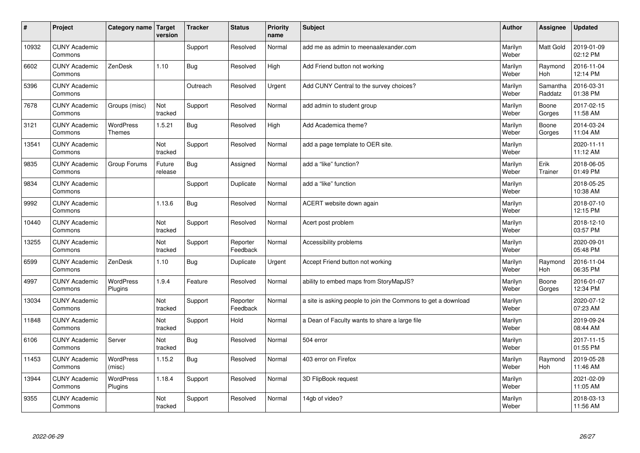| #     | Project                         | Category name Target              | version           | <b>Tracker</b> | <b>Status</b>        | <b>Priority</b><br>name | <b>Subject</b>                                                | <b>Author</b>    | Assignee              | Updated                |
|-------|---------------------------------|-----------------------------------|-------------------|----------------|----------------------|-------------------------|---------------------------------------------------------------|------------------|-----------------------|------------------------|
| 10932 | <b>CUNY Academic</b><br>Commons |                                   |                   | Support        | Resolved             | Normal                  | add me as admin to meenaalexander.com                         | Marilyn<br>Weber | <b>Matt Gold</b>      | 2019-01-09<br>02:12 PM |
| 6602  | <b>CUNY Academic</b><br>Commons | ZenDesk                           | 1.10              | Bug            | Resolved             | High                    | Add Friend button not working                                 | Marilyn<br>Weber | Raymond<br><b>Hoh</b> | 2016-11-04<br>12:14 PM |
| 5396  | <b>CUNY Academic</b><br>Commons |                                   |                   | Outreach       | Resolved             | Urgent                  | Add CUNY Central to the survey choices?                       | Marilyn<br>Weber | Samantha<br>Raddatz   | 2016-03-31<br>01:38 PM |
| 7678  | <b>CUNY Academic</b><br>Commons | Groups (misc)                     | Not<br>tracked    | Support        | Resolved             | Normal                  | add admin to student group                                    | Marilyn<br>Weber | Boone<br>Gorges       | 2017-02-15<br>11:58 AM |
| 3121  | <b>CUNY Academic</b><br>Commons | <b>WordPress</b><br><b>Themes</b> | 1.5.21            | Bug            | Resolved             | High                    | Add Academica theme?                                          | Marilyn<br>Weber | Boone<br>Gorges       | 2014-03-24<br>11:04 AM |
| 13541 | <b>CUNY Academic</b><br>Commons |                                   | Not<br>tracked    | Support        | Resolved             | Normal                  | add a page template to OER site.                              | Marilyn<br>Weber |                       | 2020-11-11<br>11:12 AM |
| 9835  | <b>CUNY Academic</b><br>Commons | Group Forums                      | Future<br>release | Bug            | Assigned             | Normal                  | add a "like" function?                                        | Marilyn<br>Weber | Erik<br>Trainer       | 2018-06-05<br>01:49 PM |
| 9834  | <b>CUNY Academic</b><br>Commons |                                   |                   | Support        | Duplicate            | Normal                  | add a "like" function                                         | Marilyn<br>Weber |                       | 2018-05-25<br>10:38 AM |
| 9992  | <b>CUNY Academic</b><br>Commons |                                   | 1.13.6            | Bug            | Resolved             | Normal                  | ACERT website down again                                      | Marilyn<br>Weber |                       | 2018-07-10<br>12:15 PM |
| 10440 | <b>CUNY Academic</b><br>Commons |                                   | Not<br>tracked    | Support        | Resolved             | Normal                  | Acert post problem                                            | Marilyn<br>Weber |                       | 2018-12-10<br>03:57 PM |
| 13255 | <b>CUNY Academic</b><br>Commons |                                   | Not<br>tracked    | Support        | Reporter<br>Feedback | Normal                  | Accessibility problems                                        | Marilyn<br>Weber |                       | 2020-09-01<br>05:48 PM |
| 6599  | <b>CUNY Academic</b><br>Commons | ZenDesk                           | 1.10              | Bug            | Duplicate            | Urgent                  | Accept Friend button not working                              | Marilyn<br>Weber | Raymond<br>Hoh        | 2016-11-04<br>06:35 PM |
| 4997  | <b>CUNY Academic</b><br>Commons | <b>WordPress</b><br>Plugins       | 1.9.4             | Feature        | Resolved             | Normal                  | ability to embed maps from StoryMapJS?                        | Marilyn<br>Weber | Boone<br>Gorges       | 2016-01-07<br>12:34 PM |
| 13034 | <b>CUNY Academic</b><br>Commons |                                   | Not<br>tracked    | Support        | Reporter<br>Feedback | Normal                  | a site is asking people to join the Commons to get a download | Marilyn<br>Weber |                       | 2020-07-12<br>07:23 AM |
| 11848 | <b>CUNY Academic</b><br>Commons |                                   | Not<br>tracked    | Support        | Hold                 | Normal                  | a Dean of Faculty wants to share a large file                 | Marilyn<br>Weber |                       | 2019-09-24<br>08:44 AM |
| 6106  | <b>CUNY Academic</b><br>Commons | Server                            | Not<br>tracked    | <b>Bug</b>     | Resolved             | Normal                  | 504 error                                                     | Marilyn<br>Weber |                       | 2017-11-15<br>01:55 PM |
| 11453 | <b>CUNY Academic</b><br>Commons | WordPress<br>(misc)               | 1.15.2            | Bug            | Resolved             | Normal                  | 403 error on Firefox                                          | Marilyn<br>Weber | Raymond<br>Hoh        | 2019-05-28<br>11:46 AM |
| 13944 | <b>CUNY Academic</b><br>Commons | <b>WordPress</b><br>Plugins       | 1.18.4            | Support        | Resolved             | Normal                  | 3D FlipBook request                                           | Marilyn<br>Weber |                       | 2021-02-09<br>11:05 AM |
| 9355  | <b>CUNY Academic</b><br>Commons |                                   | Not<br>tracked    | Support        | Resolved             | Normal                  | 14gb of video?                                                | Marilyn<br>Weber |                       | 2018-03-13<br>11:56 AM |